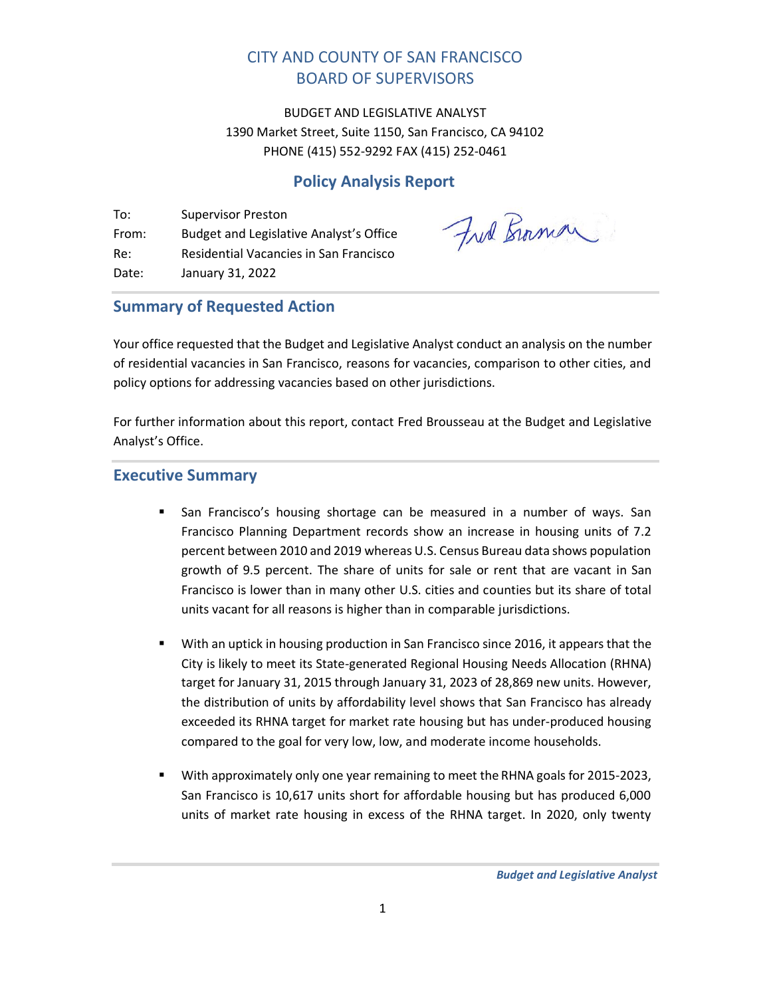# CITY AND COUNTY OF SAN FRANCISCO BOARD OF SUPERVISORS

BUDGET AND LEGISLATIVE ANALYST 1390 Market Street, Suite 1150, San Francisco, CA 94102 PHONE (415) 552-9292 FAX (415) 252-0461

# **Policy Analysis Report**

To: Supervisor Preston From: Budget and Legislative Analyst's Office Re: Residential Vacancies in San Francisco Date: January 31, 2022

Fred Bromon

# <span id="page-0-0"></span>**Summary of Requested Action**

Your office requested that the Budget and Legislative Analyst conduct an analysis on the number of residential vacancies in San Francisco, reasons for vacancies, comparison to other cities, and policy options for addressing vacancies based on other jurisdictions.

For further information about this report, contact Fred Brousseau at the Budget and Legislative Analyst's Office.

## <span id="page-0-1"></span>**Executive Summary**

- **E** San Francisco's housing shortage can be measured in a number of ways. San Francisco Planning Department records show an increase in housing units of 7.2 percent between 2010 and 2019 whereas U.S. Census Bureau data shows population growth of 9.5 percent. The share of units for sale or rent that are vacant in San Francisco is lower than in many other U.S. cities and counties but its share of total units vacant for all reasons is higher than in comparable jurisdictions.
- **■** With an uptick in housing production in San Francisco since 2016, it appears that the City is likely to meet its State-generated Regional Housing Needs Allocation (RHNA) target for January 31, 2015 through January 31, 2023 of 28,869 new units. However, the distribution of units by affordability level shows that San Francisco has already exceeded its RHNA target for market rate housing but has under-produced housing compared to the goal for very low, low, and moderate income households.
- With approximately only one year remaining to meet the RHNA goals for 2015-2023, San Francisco is 10,617 units short for affordable housing but has produced 6,000 units of market rate housing in excess of the RHNA target. In 2020, only twenty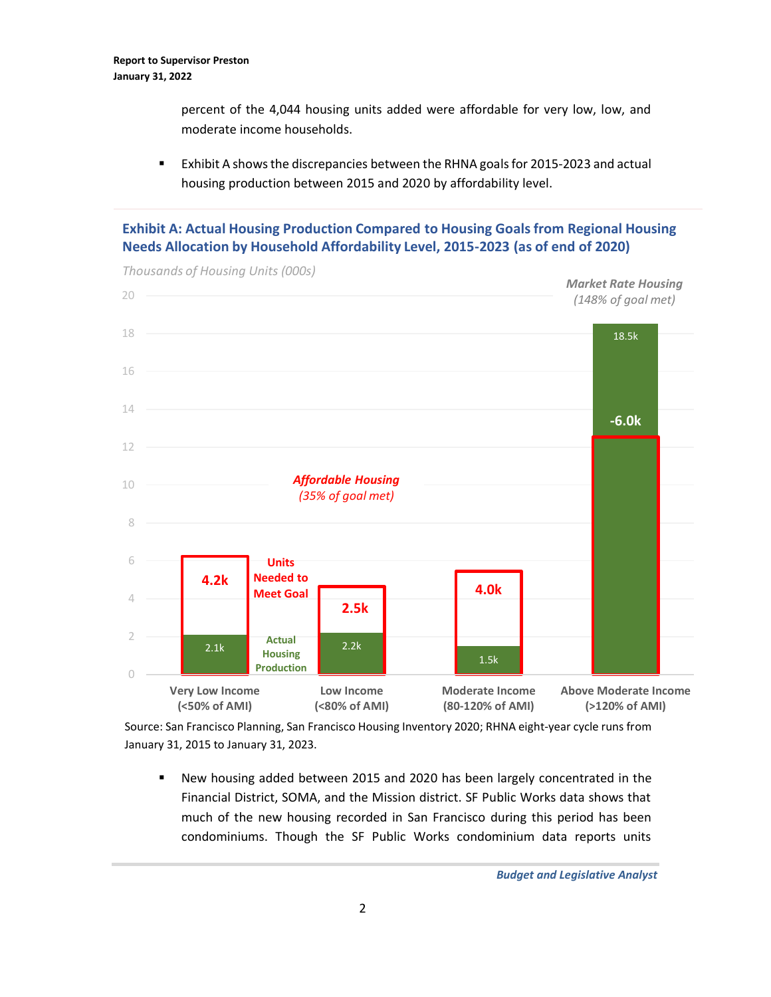percent of the 4,044 housing units added were affordable for very low, low, and moderate income households.

**EXHIBIT A shows the discrepancies between the RHNA goals for 2015-2023 and actual** housing production between 2015 and 2020 by affordability level.

## **Exhibit A: Actual Housing Production Compared to Housing Goals from Regional Housing Needs Allocation by Household Affordability Level, 2015-2023 (as of end of 2020)**



*Thousands of Housing Units (000s)*

Source: San Francisco Planning, San Francisco Housing Inventory 2020; RHNA eight-year cycle runs from January 31, 2015 to January 31, 2023.

■ New housing added between 2015 and 2020 has been largely concentrated in the Financial District, SOMA, and the Mission district. SF Public Works data shows that much of the new housing recorded in San Francisco during this period has been condominiums. Though the SF Public Works condominium data reports units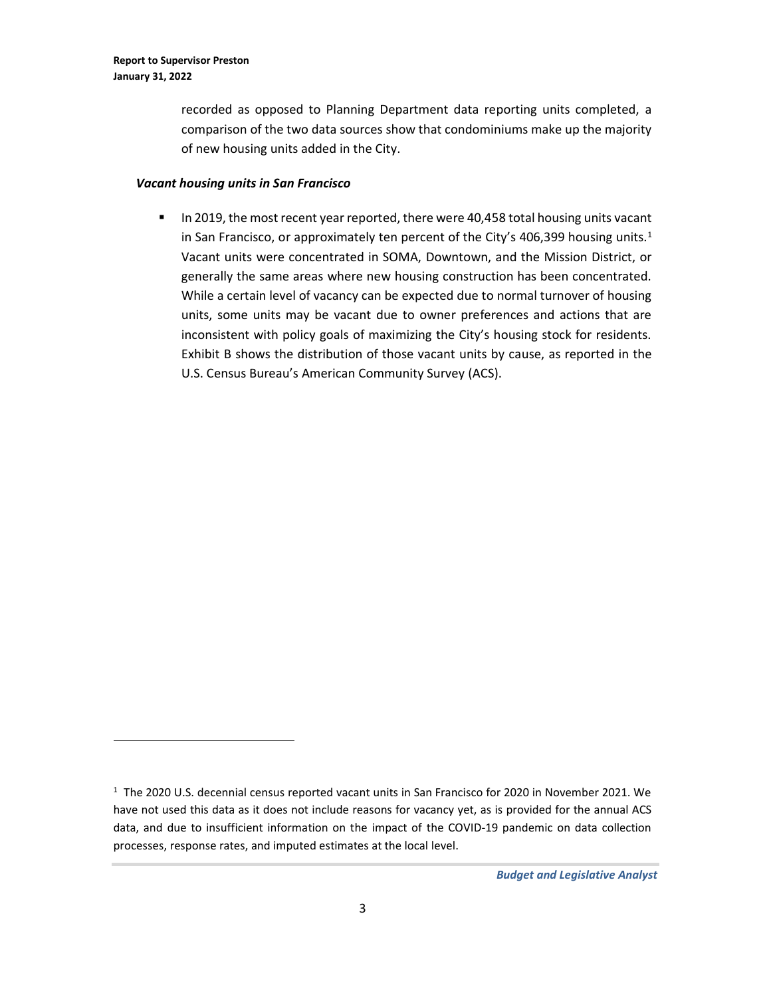recorded as opposed to Planning Department data reporting units completed, a comparison of the two data sources show that condominiums make up the majority of new housing units added in the City.

#### *Vacant housing units in San Francisco*

**■** In 2019, the most recent year reported, there were 40,458 total housing units vacant in San Francisco, or approximately ten percent of the City's 406,399 housing units.<sup>1</sup> Vacant units were concentrated in SOMA, Downtown, and the Mission District, or generally the same areas where new housing construction has been concentrated. While a certain level of vacancy can be expected due to normal turnover of housing units, some units may be vacant due to owner preferences and actions that are inconsistent with policy goals of maximizing the City's housing stock for residents. Exhibit B shows the distribution of those vacant units by cause, as reported in the U.S. Census Bureau's American Community Survey (ACS).

<sup>1</sup> The 2020 U.S. decennial census reported vacant units in San Francisco for 2020 in November 2021. We have not used this data as it does not include reasons for vacancy yet, as is provided for the annual ACS data, and due to insufficient information on the impact of the COVID-19 pandemic on data collection processes, response rates, and imputed estimates at the local level.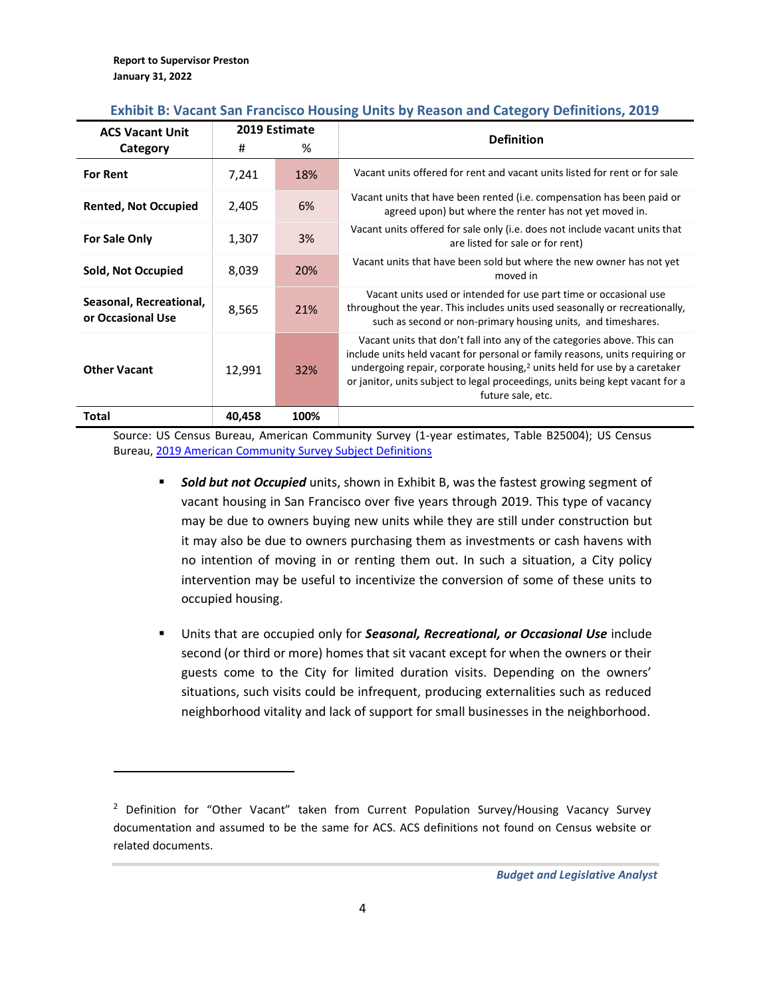| <b>ACS Vacant Unit</b>                       | 2019 Estimate |      | <b>Definition</b>                                                                                                                                                                                                                                                                                                                            |  |
|----------------------------------------------|---------------|------|----------------------------------------------------------------------------------------------------------------------------------------------------------------------------------------------------------------------------------------------------------------------------------------------------------------------------------------------|--|
| Category                                     | #             | %    |                                                                                                                                                                                                                                                                                                                                              |  |
| <b>For Rent</b>                              | 7,241         | 18%  | Vacant units offered for rent and vacant units listed for rent or for sale                                                                                                                                                                                                                                                                   |  |
| <b>Rented, Not Occupied</b>                  | 2,405         | 6%   | Vacant units that have been rented (i.e. compensation has been paid or<br>agreed upon) but where the renter has not yet moved in.                                                                                                                                                                                                            |  |
| <b>For Sale Only</b>                         | 1,307         | 3%   | Vacant units offered for sale only (i.e. does not include vacant units that<br>are listed for sale or for rent)                                                                                                                                                                                                                              |  |
| Sold, Not Occupied                           | 8,039         | 20%  | Vacant units that have been sold but where the new owner has not yet<br>moved in                                                                                                                                                                                                                                                             |  |
| Seasonal, Recreational,<br>or Occasional Use | 8,565         | 21%  | Vacant units used or intended for use part time or occasional use<br>throughout the year. This includes units used seasonally or recreationally,<br>such as second or non-primary housing units, and timeshares.                                                                                                                             |  |
| <b>Other Vacant</b>                          | 12,991        | 32%  | Vacant units that don't fall into any of the categories above. This can<br>include units held vacant for personal or family reasons, units requiring or<br>undergoing repair, corporate housing, $2$ units held for use by a caretaker<br>or janitor, units subject to legal proceedings, units being kept vacant for a<br>future sale, etc. |  |
| Total                                        | 40,458        | 100% |                                                                                                                                                                                                                                                                                                                                              |  |

### **Exhibit B: Vacant San Francisco Housing Units by Reason and Category Definitions, 2019**

Source: US Census Bureau, American Community Survey (1-year estimates, Table B25004); US Census Bureau, [2019 American Community Survey Subject Definitions](source:%20US%20Census%20Bureau,%20American%20Community%20Survey%20(1-year%20estimates))

- **Example 3 In 8 3 and 5 and 5 and 7 and 5 and 7 and 7 and 7 and 7 and 7 and 7 and 7 and 7 and 7 and 7 and 7 and 8 and 8 and 8 and 8 and 8 and 8 and 6 and 8 and 6 and 8 and 8 and 8 and 8 and 8 and 8 and 8 and 8 and 8 and 8** vacant housing in San Francisco over five years through 2019. This type of vacancy may be due to owners buying new units while they are still under construction but it may also be due to owners purchasing them as investments or cash havens with no intention of moving in or renting them out. In such a situation, a City policy intervention may be useful to incentivize the conversion of some of these units to occupied housing.
- Units that are occupied only for *Seasonal, Recreational, or Occasional Use* include second (or third or more) homes that sit vacant except for when the owners or their guests come to the City for limited duration visits. Depending on the owners' situations, such visits could be infrequent, producing externalities such as reduced neighborhood vitality and lack of support for small businesses in the neighborhood.

<sup>&</sup>lt;sup>2</sup> Definition for "Other Vacant" taken from Current Population Survey/Housing Vacancy Survey documentation and assumed to be the same for ACS. ACS definitions not found on Census website or related documents.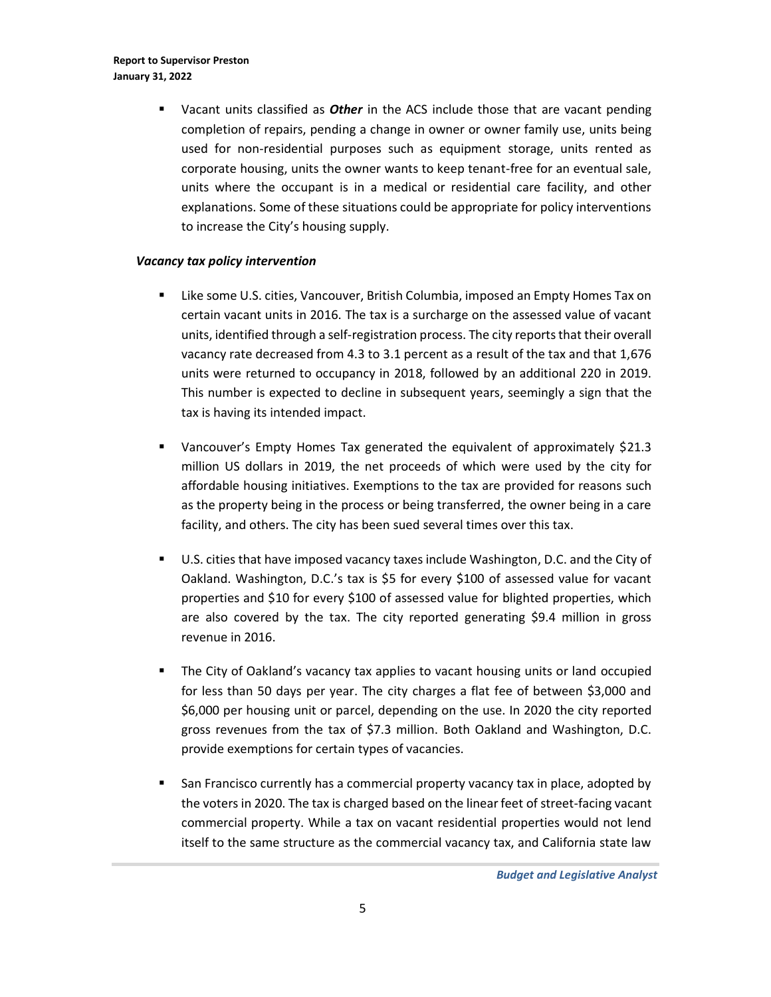**E** Vacant units classified as *Other* in the ACS include those that are vacant pending completion of repairs, pending a change in owner or owner family use, units being used for non-residential purposes such as equipment storage, units rented as corporate housing, units the owner wants to keep tenant-free for an eventual sale, units where the occupant is in a medical or residential care facility, and other explanations. Some of these situations could be appropriate for policy interventions to increase the City's housing supply.

#### *Vacancy tax policy intervention*

- Like some U.S. cities, Vancouver, British Columbia, imposed an Empty Homes Tax on certain vacant units in 2016. The tax is a surcharge on the assessed value of vacant units, identified through a self-registration process. The city reports that their overall vacancy rate decreased from 4.3 to 3.1 percent as a result of the tax and that 1,676 units were returned to occupancy in 2018, followed by an additional 220 in 2019. This number is expected to decline in subsequent years, seemingly a sign that the tax is having its intended impact.
- Vancouver's Empty Homes Tax generated the equivalent of approximately \$21.3 million US dollars in 2019, the net proceeds of which were used by the city for affordable housing initiatives. Exemptions to the tax are provided for reasons such as the property being in the process or being transferred, the owner being in a care facility, and others. The city has been sued several times over this tax.
- U.S. cities that have imposed vacancy taxes include Washington, D.C. and the City of Oakland. Washington, D.C.'s tax is \$5 for every \$100 of assessed value for vacant properties and \$10 for every \$100 of assessed value for blighted properties, which are also covered by the tax. The city reported generating \$9.4 million in gross revenue in 2016.
- The City of Oakland's vacancy tax applies to vacant housing units or land occupied for less than 50 days per year. The city charges a flat fee of between \$3,000 and \$6,000 per housing unit or parcel, depending on the use. In 2020 the city reported gross revenues from the tax of \$7.3 million. Both Oakland and Washington, D.C. provide exemptions for certain types of vacancies.
- San Francisco currently has a commercial property vacancy tax in place, adopted by the voters in 2020. The tax is charged based on the linear feet of street-facing vacant commercial property. While a tax on vacant residential properties would not lend itself to the same structure as the commercial vacancy tax, and California state law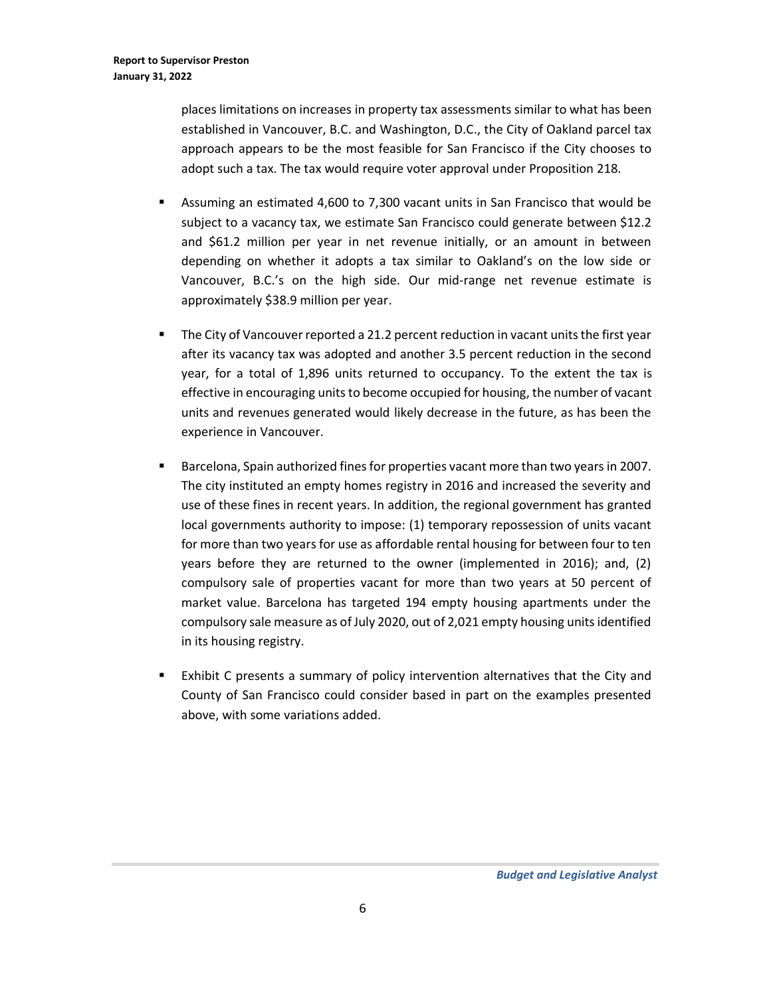places limitations on increases in property tax assessments similar to what has been established in Vancouver, B.C. and Washington, D.C., the City of Oakland parcel tax approach appears to be the most feasible for San Francisco if the City chooses to adopt such a tax. The tax would require voter approval under Proposition 218.

- Assuming an estimated 4,600 to 7,300 vacant units in San Francisco that would be subject to a vacancy tax, we estimate San Francisco could generate between \$12.2 and \$61.2 million per year in net revenue initially, or an amount in between depending on whether it adopts a tax similar to Oakland's on the low side or Vancouver, B.C.'s on the high side. Our mid-range net revenue estimate is approximately \$38.9 million per year.
- The City of Vancouver reported a 21.2 percent reduction in vacant units the first year after its vacancy tax was adopted and another 3.5 percent reduction in the second year, for a total of 1,896 units returned to occupancy. To the extent the tax is effective in encouraging units to become occupied for housing, the number of vacant units and revenues generated would likely decrease in the future, as has been the experience in Vancouver.
- Barcelona, Spain authorized fines for properties vacant more than two years in 2007. The city instituted an empty homes registry in 2016 and increased the severity and use of these fines in recent years. In addition, the regional government has granted local governments authority to impose: (1) temporary repossession of units vacant for more than two years for use as affordable rental housing for between four to ten years before they are returned to the owner (implemented in 2016); and, (2) compulsory sale of properties vacant for more than two years at 50 percent of market value. Barcelona has targeted 194 empty housing apartments under the compulsory sale measure as of July 2020, out of 2,021 empty housing units identified in its housing registry.
- Exhibit C presents a summary of policy intervention alternatives that the City and County of San Francisco could consider based in part on the examples presented above, with some variations added.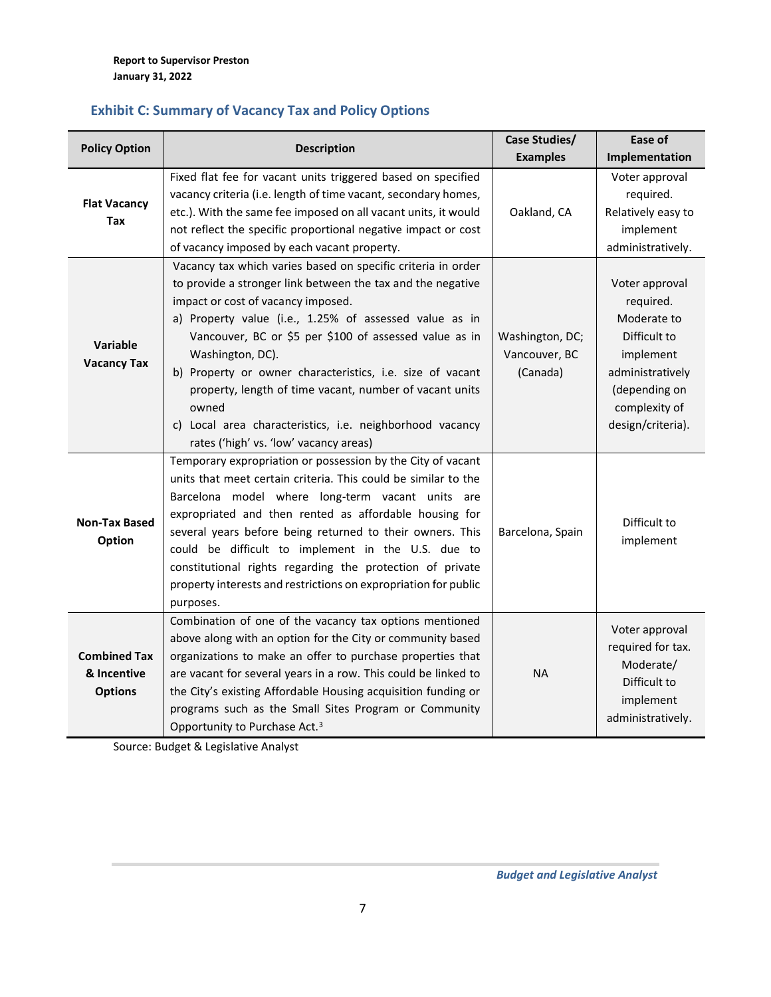## **Exhibit C: Summary of Vacancy Tax and Policy Options**

| <b>Policy Option</b> | <b>Description</b>                                              | <b>Case Studies/</b> | Ease of            |
|----------------------|-----------------------------------------------------------------|----------------------|--------------------|
|                      |                                                                 | <b>Examples</b>      | Implementation     |
|                      | Fixed flat fee for vacant units triggered based on specified    |                      | Voter approval     |
| <b>Flat Vacancy</b>  | vacancy criteria (i.e. length of time vacant, secondary homes,  |                      | required.          |
| <b>Tax</b>           | etc.). With the same fee imposed on all vacant units, it would  | Oakland, CA          | Relatively easy to |
|                      | not reflect the specific proportional negative impact or cost   |                      | implement          |
|                      | of vacancy imposed by each vacant property.                     |                      | administratively.  |
|                      | Vacancy tax which varies based on specific criteria in order    |                      |                    |
|                      | to provide a stronger link between the tax and the negative     |                      | Voter approval     |
|                      | impact or cost of vacancy imposed.                              |                      | required.          |
|                      | a) Property value (i.e., 1.25% of assessed value as in          |                      | Moderate to        |
|                      | Vancouver, BC or \$5 per \$100 of assessed value as in          | Washington, DC;      | Difficult to       |
| Variable             | Washington, DC).                                                | Vancouver, BC        | implement          |
| <b>Vacancy Tax</b>   | b) Property or owner characteristics, i.e. size of vacant       | (Canada)             | administratively   |
|                      | property, length of time vacant, number of vacant units         |                      | (depending on      |
|                      | owned                                                           |                      | complexity of      |
|                      | c) Local area characteristics, i.e. neighborhood vacancy        |                      | design/criteria).  |
|                      | rates ('high' vs. 'low' vacancy areas)                          |                      |                    |
|                      | Temporary expropriation or possession by the City of vacant     |                      |                    |
|                      | units that meet certain criteria. This could be similar to the  |                      |                    |
|                      | Barcelona model where long-term vacant units are                |                      |                    |
|                      | expropriated and then rented as affordable housing for          |                      |                    |
| <b>Non-Tax Based</b> | several years before being returned to their owners. This       | Barcelona, Spain     | Difficult to       |
| Option               | could be difficult to implement in the U.S. due to              |                      | implement          |
|                      | constitutional rights regarding the protection of private       |                      |                    |
|                      | property interests and restrictions on expropriation for public |                      |                    |
|                      | purposes.                                                       |                      |                    |
|                      | Combination of one of the vacancy tax options mentioned         |                      |                    |
|                      | above along with an option for the City or community based      |                      | Voter approval     |
| <b>Combined Tax</b>  | organizations to make an offer to purchase properties that      |                      | required for tax.  |
| & Incentive          | are vacant for several years in a row. This could be linked to  | <b>NA</b>            | Moderate/          |
| <b>Options</b>       | the City's existing Affordable Housing acquisition funding or   |                      | Difficult to       |
|                      | programs such as the Small Sites Program or Community           |                      | implement          |
|                      | Opportunity to Purchase Act. <sup>3</sup>                       |                      | administratively.  |

Source: Budget & Legislative Analyst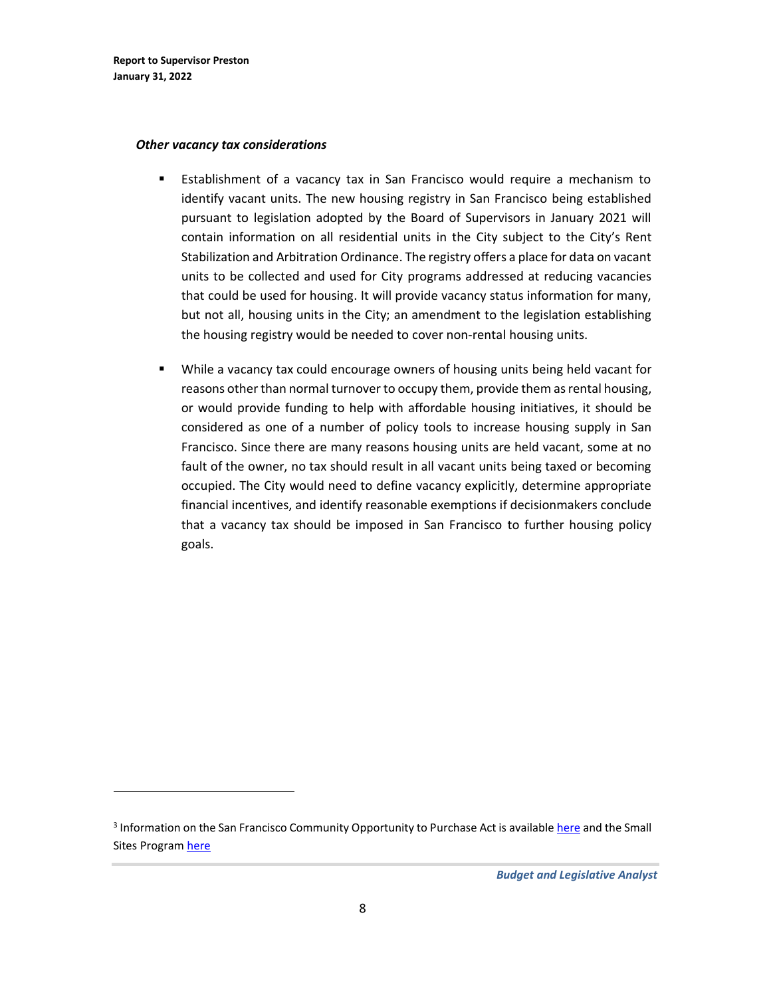#### *Other vacancy tax considerations*

- **E** Establishment of a vacancy tax in San Francisco would require a mechanism to identify vacant units. The new housing registry in San Francisco being established pursuant to legislation adopted by the Board of Supervisors in January 2021 will contain information on all residential units in the City subject to the City's Rent Stabilization and Arbitration Ordinance. The registry offers a place for data on vacant units to be collected and used for City programs addressed at reducing vacancies that could be used for housing. It will provide vacancy status information for many, but not all, housing units in the City; an amendment to the legislation establishing the housing registry would be needed to cover non-rental housing units.
- While a vacancy tax could encourage owners of housing units being held vacant for reasons other than normal turnover to occupy them, provide them as rental housing, or would provide funding to help with affordable housing initiatives, it should be considered as one of a number of policy tools to increase housing supply in San Francisco. Since there are many reasons housing units are held vacant, some at no fault of the owner, no tax should result in all vacant units being taxed or becoming occupied. The City would need to define vacancy explicitly, determine appropriate financial incentives, and identify reasonable exemptions if decisionmakers conclude that a vacancy tax should be imposed in San Francisco to further housing policy goals.

<sup>&</sup>lt;sup>3</sup> Information on the San Francisco Community Opportunity to Purchase Act is available <u>here</u> and the Small Sites Progra[m here](https://sfmohcd.org/small-sites-program)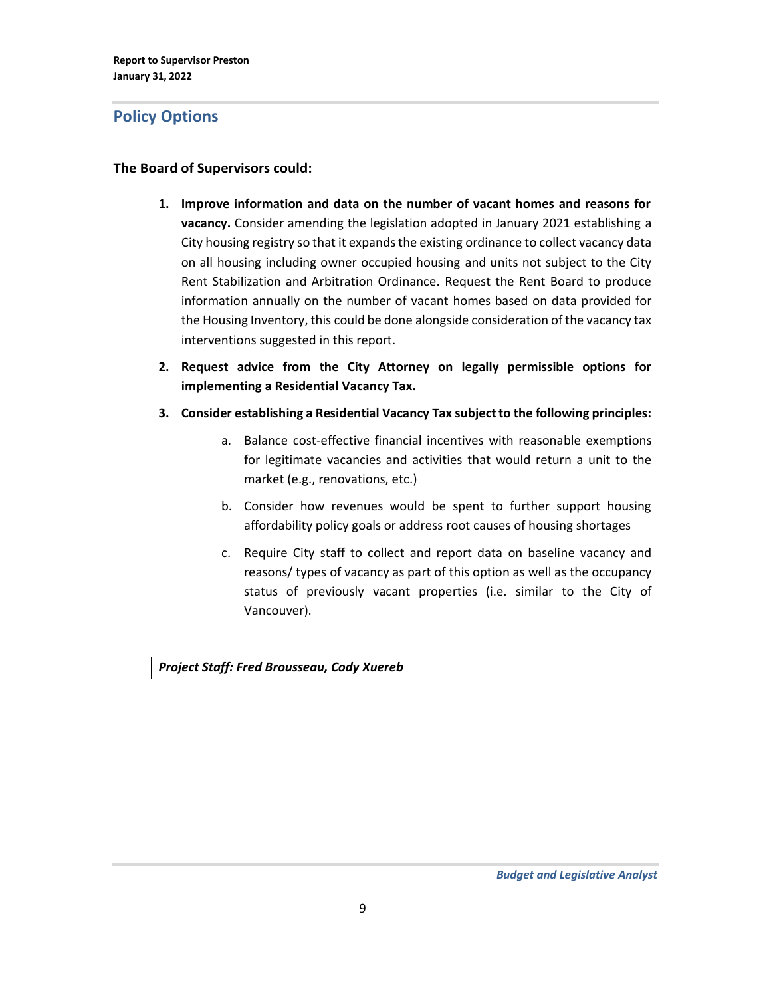# <span id="page-8-0"></span>**Policy Options**

### **The Board of Supervisors could:**

- **1. Improve information and data on the number of vacant homes and reasons for vacancy.** Consider amending the legislation adopted in January 2021 establishing a City housing registry so that it expands the existing ordinance to collect vacancy data on all housing including owner occupied housing and units not subject to the City Rent Stabilization and Arbitration Ordinance. Request the Rent Board to produce information annually on the number of vacant homes based on data provided for the Housing Inventory, this could be done alongside consideration of the vacancy tax interventions suggested in this report.
- **2. Request advice from the City Attorney on legally permissible options for implementing a Residential Vacancy Tax.**
- **3. Consider establishing a Residential Vacancy Tax subject to the following principles:**
	- a. Balance cost-effective financial incentives with reasonable exemptions for legitimate vacancies and activities that would return a unit to the market (e.g., renovations, etc.)
	- b. Consider how revenues would be spent to further support housing affordability policy goals or address root causes of housing shortages
	- c. Require City staff to collect and report data on baseline vacancy and reasons/ types of vacancy as part of this option as well as the occupancy status of previously vacant properties (i.e. similar to the City of Vancouver).

*Project Staff: Fred Brousseau, Cody Xuereb*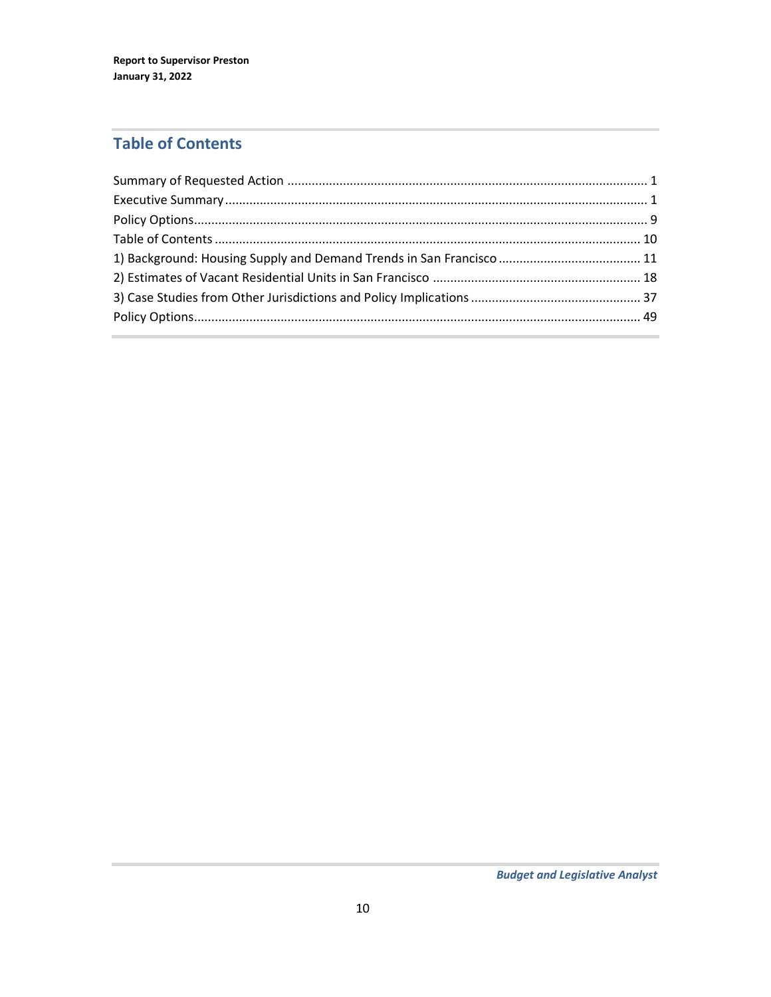# <span id="page-9-0"></span>**Table of Contents**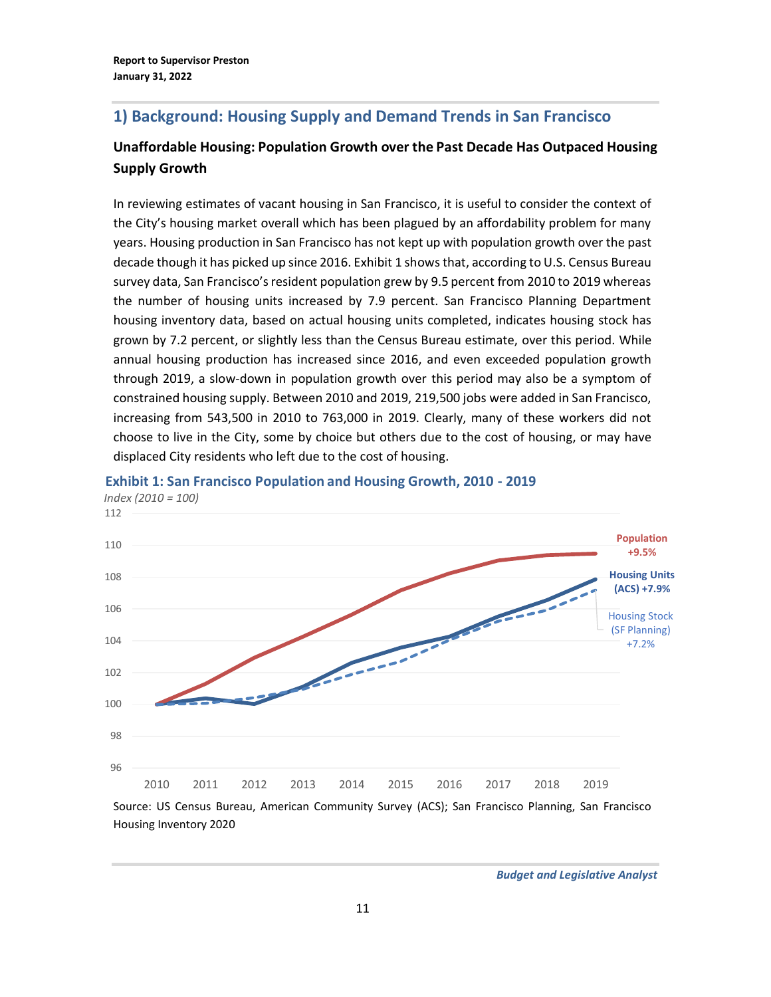# <span id="page-10-0"></span>**1) Background: Housing Supply and Demand Trends in San Francisco**

# **Unaffordable Housing: Population Growth over the Past Decade Has Outpaced Housing Supply Growth**

In reviewing estimates of vacant housing in San Francisco, it is useful to consider the context of the City's housing market overall which has been plagued by an affordability problem for many years. Housing production in San Francisco has not kept up with population growth over the past decade though it has picked up since 2016. Exhibit 1 showsthat, according to U.S. Census Bureau survey data, San Francisco's resident population grew by 9.5 percent from 2010 to 2019 whereas the number of housing units increased by 7.9 percent. San Francisco Planning Department housing inventory data, based on actual housing units completed, indicates housing stock has grown by 7.2 percent, or slightly less than the Census Bureau estimate, over this period. While annual housing production has increased since 2016, and even exceeded population growth through 2019, a slow-down in population growth over this period may also be a symptom of constrained housing supply. Between 2010 and 2019, 219,500 jobs were added in San Francisco, increasing from 543,500 in 2010 to 763,000 in 2019. Clearly, many of these workers did not choose to live in the City, some by choice but others due to the cost of housing, or may have displaced City residents who left due to the cost of housing.



#### *Index (2010 = 100)* **Exhibit 1: San Francisco Population and Housing Growth, 2010 - 2019**

Source: US Census Bureau, American Community Survey (ACS); San Francisco Planning, San Francisco Housing Inventory 2020

*Budget and Legislative Analyst*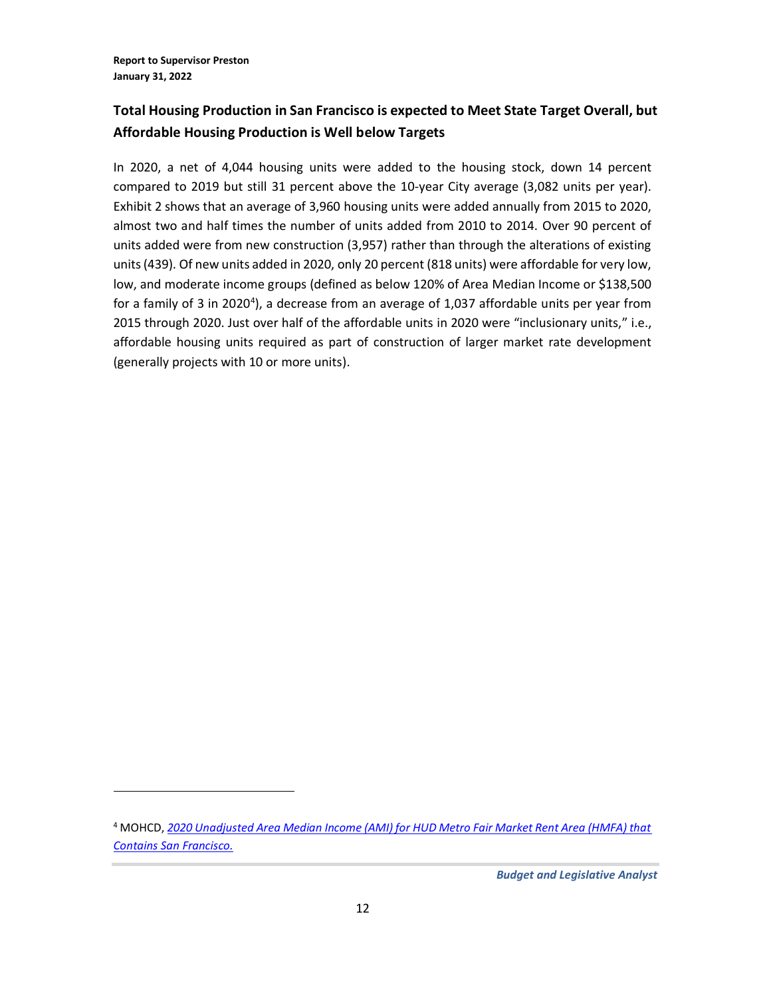# **Total Housing Production in San Francisco is expected to Meet State Target Overall, but Affordable Housing Production is Well below Targets**

In 2020, a net of 4,044 housing units were added to the housing stock, down 14 percent compared to 2019 but still 31 percent above the 10-year City average (3,082 units per year). Exhibit 2 shows that an average of 3,960 housing units were added annually from 2015 to 2020, almost two and half times the number of units added from 2010 to 2014. Over 90 percent of units added were from new construction (3,957) rather than through the alterations of existing units (439). Of new units added in 2020, only 20 percent (818 units) were affordable for very low, low, and moderate income groups (defined as below 120% of Area Median Income or \$138,500 for a family of 3 in 2020<sup>4</sup>), a decrease from an average of 1,037 affordable units per year from 2015 through 2020. Just over half of the affordable units in 2020 were "inclusionary units," i.e., affordable housing units required as part of construction of larger market rate development (generally projects with 10 or more units).

<sup>4</sup> MOHCD, *[2020 Unadjusted Area Median Income \(AMI\) for HUD Metro Fair Market Rent Area \(HMFA\) that](https://sfmohcd.org/sites/default/files/Documents/MOH/Asset%20Management/2020%20AMI-IncomeLimits-HMFA_05-01-20.pdf)  [Contains San Francisco.](https://sfmohcd.org/sites/default/files/Documents/MOH/Asset%20Management/2020%20AMI-IncomeLimits-HMFA_05-01-20.pdf)*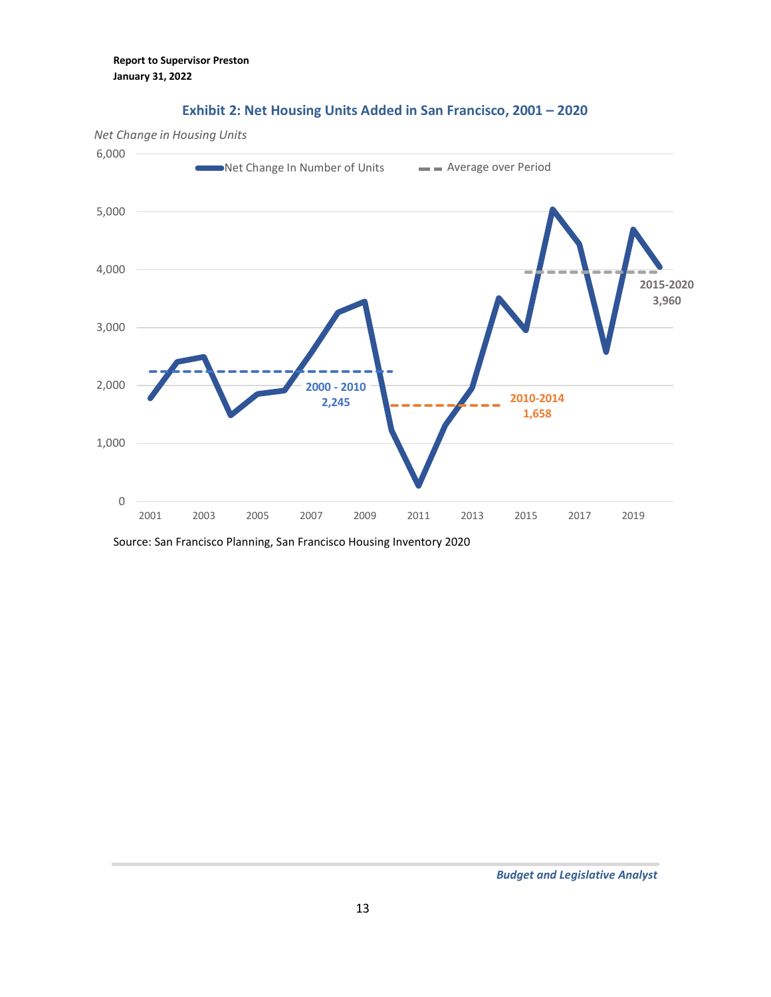

### **Exhibit 2: Net Housing Units Added in San Francisco, 2001 – 2020**

Source: San Francisco Planning, San Francisco Housing Inventory 2020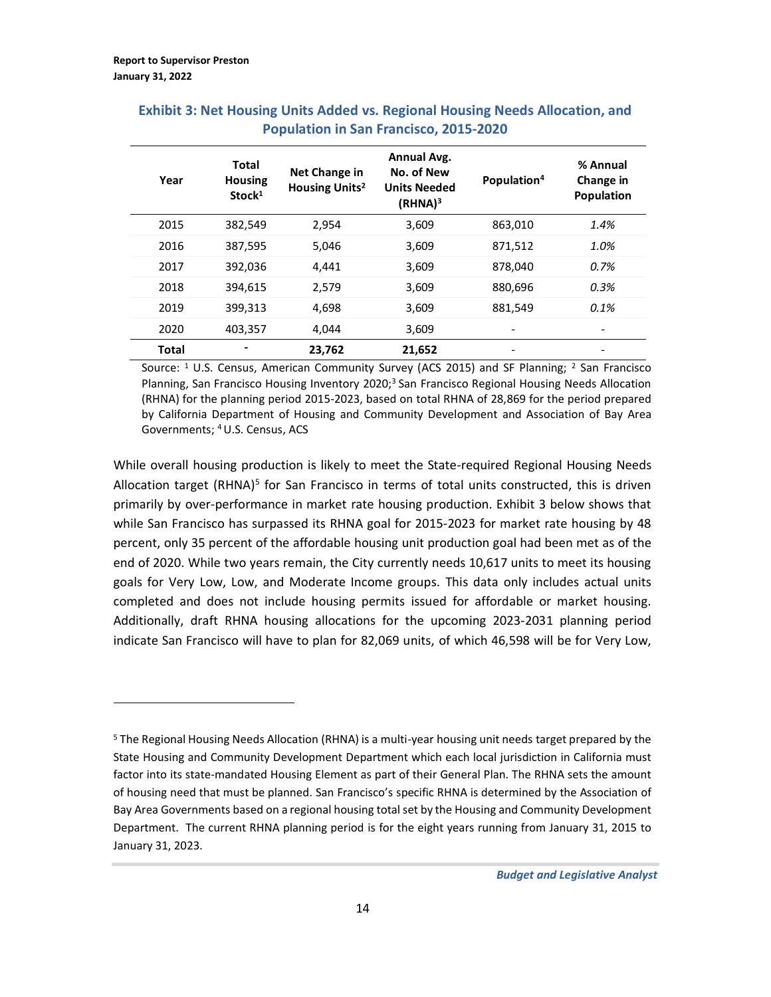| Year         | <b>Total</b><br><b>Housing</b><br>Stock <sup>1</sup> | Net Change in<br>Housing Units <sup>2</sup> | <b>Annual Avg.</b><br>No. of New<br><b>Units Needed</b><br>(RHNA) <sup>3</sup> | Population <sup>4</sup> | % Annual<br>Change in<br><b>Population</b> |
|--------------|------------------------------------------------------|---------------------------------------------|--------------------------------------------------------------------------------|-------------------------|--------------------------------------------|
| 2015         | 382,549                                              | 2,954                                       | 3,609                                                                          | 863.010                 | 1.4%                                       |
| 2016         | 387,595                                              | 5.046                                       | 3,609                                                                          | 871,512                 | 1.0%                                       |
| 2017         | 392,036                                              | 4,441                                       | 3,609                                                                          | 878,040                 | 0.7%                                       |
| 2018         | 394,615                                              | 2,579                                       | 3,609                                                                          | 880,696                 | 0.3%                                       |
| 2019         | 399,313                                              | 4,698                                       | 3,609                                                                          | 881,549                 | 0.1%                                       |
| 2020         | 403,357                                              | 4.044                                       | 3,609                                                                          | -                       | -                                          |
| <b>Total</b> |                                                      | 23,762                                      | 21,652                                                                         | -                       |                                            |

## **Exhibit 3: Net Housing Units Added vs. Regional Housing Needs Allocation, and Population in San Francisco, 2015-2020**

Source: <sup>1</sup> U.S. Census, American Community Survey (ACS 2015) and SF Planning; <sup>2</sup> San Francisco Planning, San Francisco Housing Inventory 2020;<sup>3</sup> San Francisco Regional Housing Needs Allocation (RHNA) for the planning period 2015-2023, based on total RHNA of 28,869 for the period prepared by California Department of Housing and Community Development and Association of Bay Area Governments; <sup>4</sup>U.S. Census, ACS

While overall housing production is likely to meet the State-required Regional Housing Needs Allocation target (RHNA)<sup>5</sup> for San Francisco in terms of total units constructed, this is driven primarily by over-performance in market rate housing production. Exhibit 3 below shows that while San Francisco has surpassed its RHNA goal for 2015-2023 for market rate housing by 48 percent, only 35 percent of the affordable housing unit production goal had been met as of the end of 2020. While two years remain, the City currently needs 10,617 units to meet its housing goals for Very Low, Low, and Moderate Income groups. This data only includes actual units completed and does not include housing permits issued for affordable or market housing. Additionally, draft RHNA housing allocations for the upcoming 2023-2031 planning period indicate San Francisco will have to plan for 82,069 units, of which 46,598 will be for Very Low,

<sup>&</sup>lt;sup>5</sup> The Regional Housing Needs Allocation (RHNA) is a multi-year housing unit needs target prepared by the State Housing and Community Development Department which each local jurisdiction in California must factor into its state-mandated Housing Element as part of their General Plan. The RHNA sets the amount of housing need that must be planned. San Francisco's specific RHNA is determined by the Association of Bay Area Governments based on a regional housing total set by the Housing and Community Development Department. The current RHNA planning period is for the eight years running from January 31, 2015 to January 31, 2023.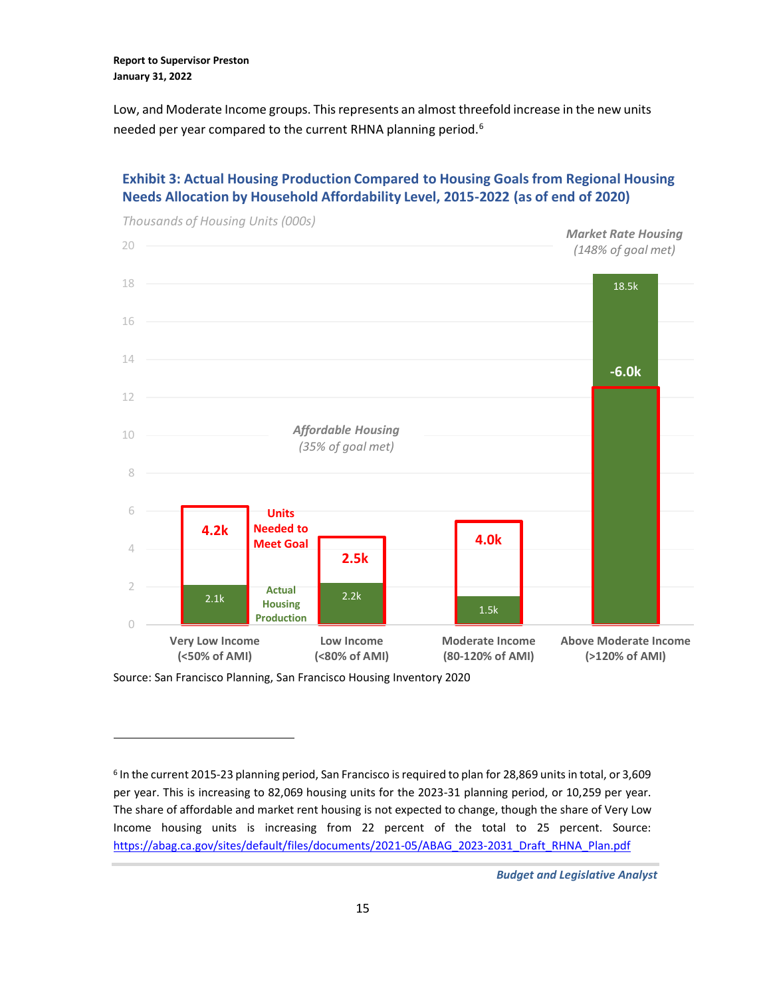Low, and Moderate Income groups. This represents an almost threefold increase in the new units needed per year compared to the current RHNA planning period.<sup>6</sup>

### **Exhibit 3: Actual Housing Production Compared to Housing Goals from Regional Housing Needs Allocation by Household Affordability Level, 2015-2022 (as of end of 2020)**



Source: San Francisco Planning, San Francisco Housing Inventory 2020

<sup>6</sup> In the current 2015-23 planning period, San Francisco is required to plan for 28,869 units in total, or 3,609 per year. This is increasing to 82,069 housing units for the 2023-31 planning period, or 10,259 per year. The share of affordable and market rent housing is not expected to change, though the share of Very Low Income housing units is increasing from 22 percent of the total to 25 percent. Source: [https://abag.ca.gov/sites/default/files/documents/2021-05/ABAG\\_2023-2031\\_Draft\\_RHNA\\_Plan.pdf](https://abag.ca.gov/sites/default/files/documents/2021-05/ABAG_2023-2031_Draft_RHNA_Plan.pdf)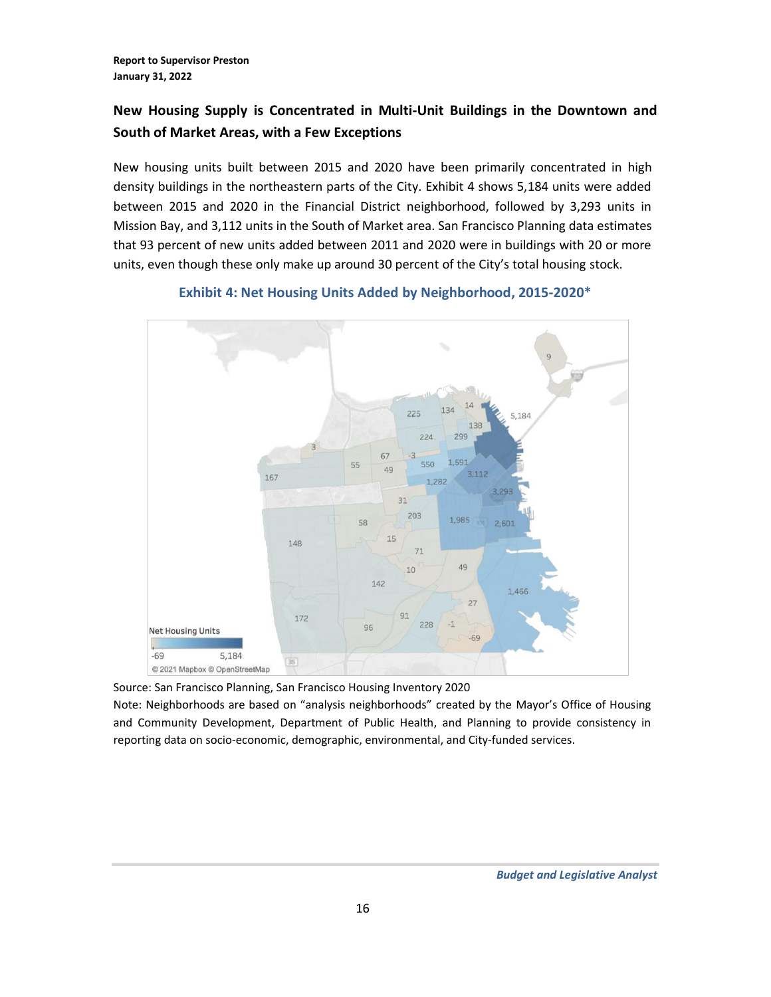## **New Housing Supply is Concentrated in Multi-Unit Buildings in the Downtown and South of Market Areas, with a Few Exceptions**

New housing units built between 2015 and 2020 have been primarily concentrated in high density buildings in the northeastern parts of the City. Exhibit 4 shows 5,184 units were added between 2015 and 2020 in the Financial District neighborhood, followed by 3,293 units in Mission Bay, and 3,112 units in the South of Market area. San Francisco Planning data estimates that 93 percent of new units added between 2011 and 2020 were in buildings with 20 or more units, even though these only make up around 30 percent of the City's total housing stock.



**Exhibit 4: Net Housing Units Added by Neighborhood, 2015-2020\***

Source: San Francisco Planning, San Francisco Housing Inventory 2020

Note: Neighborhoods are based on "analysis neighborhoods" created by the Mayor's Office of Housing and Community Development, Department of Public Health, and Planning to provide consistency in reporting data on socio-economic, demographic, environmental, and City-funded services.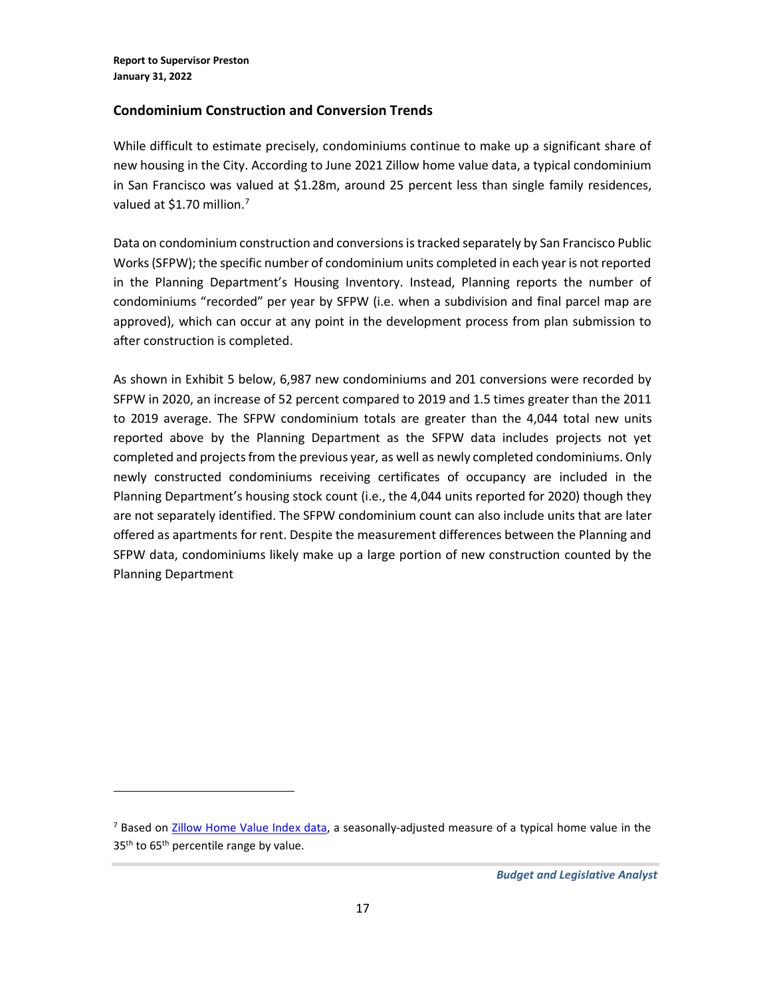### **Condominium Construction and Conversion Trends**

While difficult to estimate precisely, condominiums continue to make up a significant share of new housing in the City. According to June 2021 Zillow home value data, a typical condominium in San Francisco was valued at \$1.28m, around 25 percent less than single family residences, valued at \$1.70 million.<sup>7</sup>

Data on condominium construction and conversions is tracked separately by San Francisco Public Works(SFPW); the specific number of condominium units completed in each year is not reported in the Planning Department's Housing Inventory. Instead, Planning reports the number of condominiums "recorded" per year by SFPW (i.e. when a subdivision and final parcel map are approved), which can occur at any point in the development process from plan submission to after construction is completed.

As shown in Exhibit 5 below, 6,987 new condominiums and 201 conversions were recorded by SFPW in 2020, an increase of 52 percent compared to 2019 and 1.5 times greater than the 2011 to 2019 average. The SFPW condominium totals are greater than the 4,044 total new units reported above by the Planning Department as the SFPW data includes projects not yet completed and projects from the previous year, as well as newly completed condominiums. Only newly constructed condominiums receiving certificates of occupancy are included in the Planning Department's housing stock count (i.e., the 4,044 units reported for 2020) though they are not separately identified. The SFPW condominium count can also include units that are later offered as apartments for rent. Despite the measurement differences between the Planning and SFPW data, condominiums likely make up a large portion of new construction counted by the Planning Department

<sup>&</sup>lt;sup>7</sup> Based on [Zillow Home Value Index data,](https://www.zillow.com/san-francisco-ca/home-values/) a seasonally-adjusted measure of a typical home value in the 35<sup>th</sup> to 65<sup>th</sup> percentile range by value.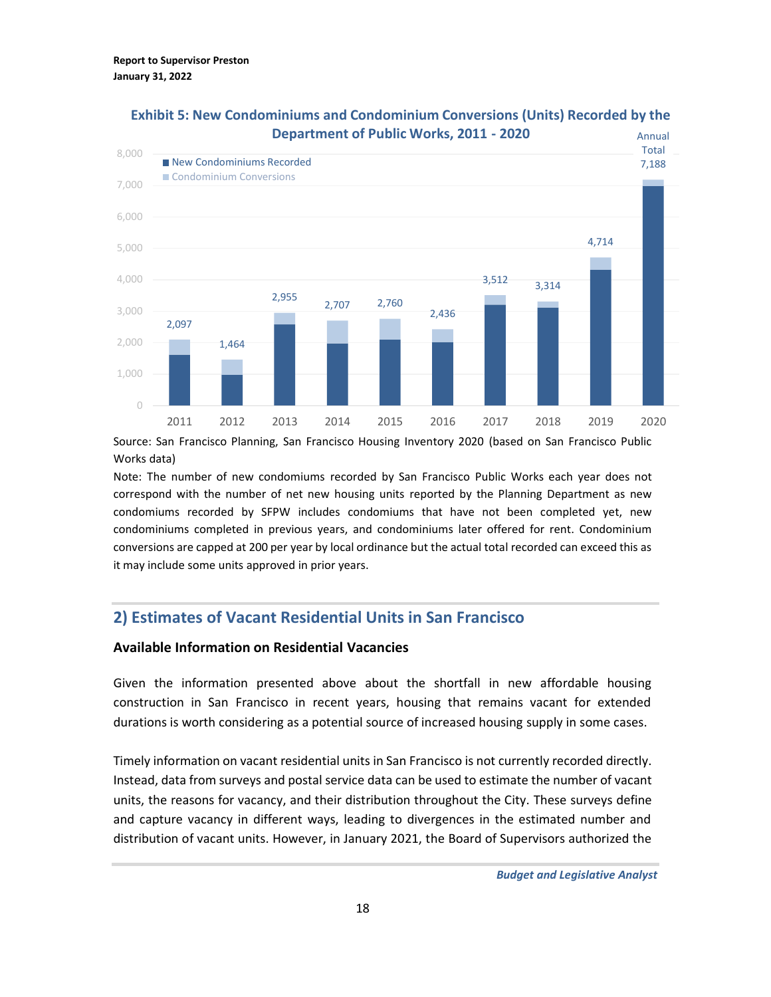

## **Exhibit 5: New Condominiums and Condominium Conversions (Units) Recorded by the Department of Public Works, 2011 - 2020**

Source: San Francisco Planning, San Francisco Housing Inventory 2020 (based on San Francisco Public Works data)

Note: The number of new condomiums recorded by San Francisco Public Works each year does not correspond with the number of net new housing units reported by the Planning Department as new condomiums recorded by SFPW includes condomiums that have not been completed yet, new condominiums completed in previous years, and condominiums later offered for rent. Condominium conversions are capped at 200 per year by local ordinance but the actual total recorded can exceed this as it may include some units approved in prior years.

# <span id="page-17-0"></span>**2) Estimates of Vacant Residential Units in San Francisco**

#### **Available Information on Residential Vacancies**

Given the information presented above about the shortfall in new affordable housing construction in San Francisco in recent years, housing that remains vacant for extended durations is worth considering as a potential source of increased housing supply in some cases.

Timely information on vacant residential units in San Francisco is not currently recorded directly. Instead, data from surveys and postal service data can be used to estimate the number of vacant units, the reasons for vacancy, and their distribution throughout the City. These surveys define and capture vacancy in different ways, leading to divergences in the estimated number and distribution of vacant units. However, in January 2021, the Board of Supervisors authorized the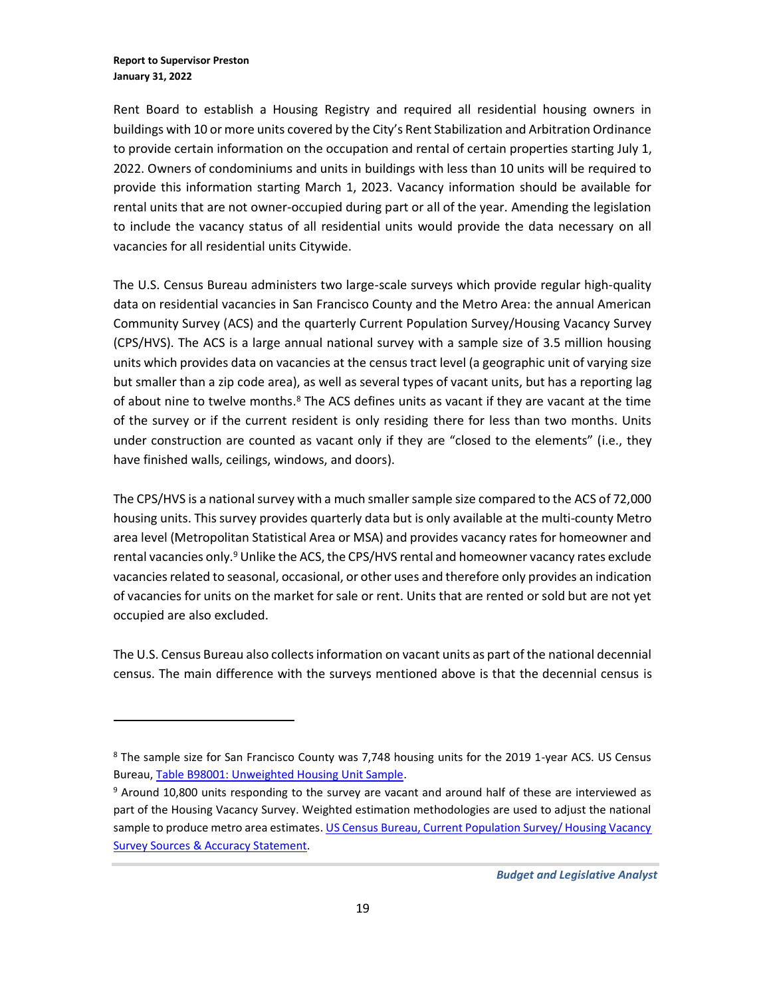Rent Board to establish a Housing Registry and required all residential housing owners in buildings with 10 or more units covered by the City's Rent Stabilization and Arbitration Ordinance to provide certain information on the occupation and rental of certain properties starting July 1, 2022. Owners of condominiums and units in buildings with less than 10 units will be required to provide this information starting March 1, 2023. Vacancy information should be available for rental units that are not owner-occupied during part or all of the year. Amending the legislation to include the vacancy status of all residential units would provide the data necessary on all vacancies for all residential units Citywide.

The U.S. Census Bureau administers two large-scale surveys which provide regular high-quality data on residential vacancies in San Francisco County and the Metro Area: the annual American Community Survey (ACS) and the quarterly Current Population Survey/Housing Vacancy Survey (CPS/HVS). The ACS is a large annual national survey with a sample size of 3.5 million housing units which provides data on vacancies at the census tract level (a geographic unit of varying size but smaller than a zip code area), as well as several types of vacant units, but has a reporting lag of about nine to twelve months.<sup>8</sup> The ACS defines units as vacant if they are vacant at the time of the survey or if the current resident is only residing there for less than two months. Units under construction are counted as vacant only if they are "closed to the elements" (i.e., they have finished walls, ceilings, windows, and doors).

The CPS/HVS is a national survey with a much smaller sample size compared to the ACS of 72,000 housing units. This survey provides quarterly data but is only available at the multi-county Metro area level (Metropolitan Statistical Area or MSA) and provides vacancy rates for homeowner and rental vacancies only.<sup>9</sup> Unlike the ACS, the CPS/HVS rental and homeowner vacancy rates exclude vacancies related to seasonal, occasional, or other uses and therefore only provides an indication of vacancies for units on the market for sale or rent. Units that are rented or sold but are not yet occupied are also excluded.

The U.S. Census Bureau also collects information on vacant units as part of the national decennial census. The main difference with the surveys mentioned above is that the decennial census is

<sup>8</sup> The sample size for San Francisco County was 7,748 housing units for the 2019 1-year ACS. US Census Bureau, [Table B98001: Unweighted Housing Unit Sample.](https://data.census.gov/cedsci/table?q=B98001&g=0500000US06075&tid=ACSDT1Y2019.B98001&hidePreview=true)

<sup>&</sup>lt;sup>9</sup> Around 10,800 units responding to the survey are vacant and around half of these are interviewed as part of the Housing Vacancy Survey. Weighted estimation methodologies are used to adjust the national sample to produce metro area estimates. US Census Bureau, Current Population Survey/ Housing Vacancy [Survey Sources & Accuracy Statement.](https://www.census.gov/housing/hvs/files/qtr121/source_21q1.pdf)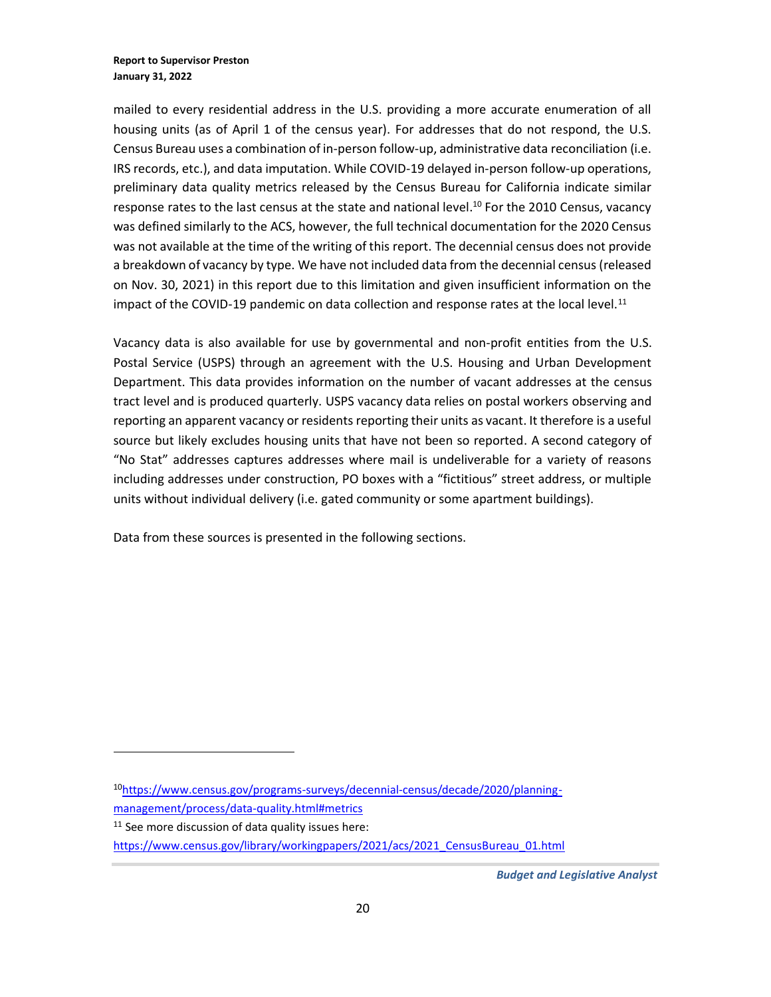mailed to every residential address in the U.S. providing a more accurate enumeration of all housing units (as of April 1 of the census year). For addresses that do not respond, the U.S. Census Bureau uses a combination of in-person follow-up, administrative data reconciliation (i.e. IRS records, etc.), and data imputation. While COVID-19 delayed in-person follow-up operations, preliminary data quality metrics released by the Census Bureau for California indicate similar response rates to the last census at the state and national level.<sup>10</sup> For the 2010 Census, vacancy was defined similarly to the ACS, however, the full technical documentation for the 2020 Census was not available at the time of the writing of this report. The decennial census does not provide a breakdown of vacancy by type. We have not included data from the decennial census (released on Nov. 30, 2021) in this report due to this limitation and given insufficient information on the impact of the COVID-19 pandemic on data collection and response rates at the local level.<sup>11</sup>

Vacancy data is also available for use by governmental and non-profit entities from the U.S. Postal Service (USPS) through an agreement with the U.S. Housing and Urban Development Department. This data provides information on the number of vacant addresses at the census tract level and is produced quarterly. USPS vacancy data relies on postal workers observing and reporting an apparent vacancy or residents reporting their units as vacant. It therefore is a useful source but likely excludes housing units that have not been so reported. A second category of "No Stat" addresses captures addresses where mail is undeliverable for a variety of reasons including addresses under construction, PO boxes with a "fictitious" street address, or multiple units without individual delivery (i.e. gated community or some apartment buildings).

Data from these sources is presented in the following sections.

<sup>10</sup>[https://www.census.gov/programs-surveys/decennial-census/decade/2020/planning](https://www.census.gov/programs-surveys/decennial-census/decade/2020/planning-management/process/data-quality.html#metrics)[management/process/data-quality.html#metrics](https://www.census.gov/programs-surveys/decennial-census/decade/2020/planning-management/process/data-quality.html#metrics)

 $11$  See more discussion of data quality issues here:

https://www.census.gov/library/workingpapers/2021/acs/2021 CensusBureau 01.html

*Budget and Legislative Analyst*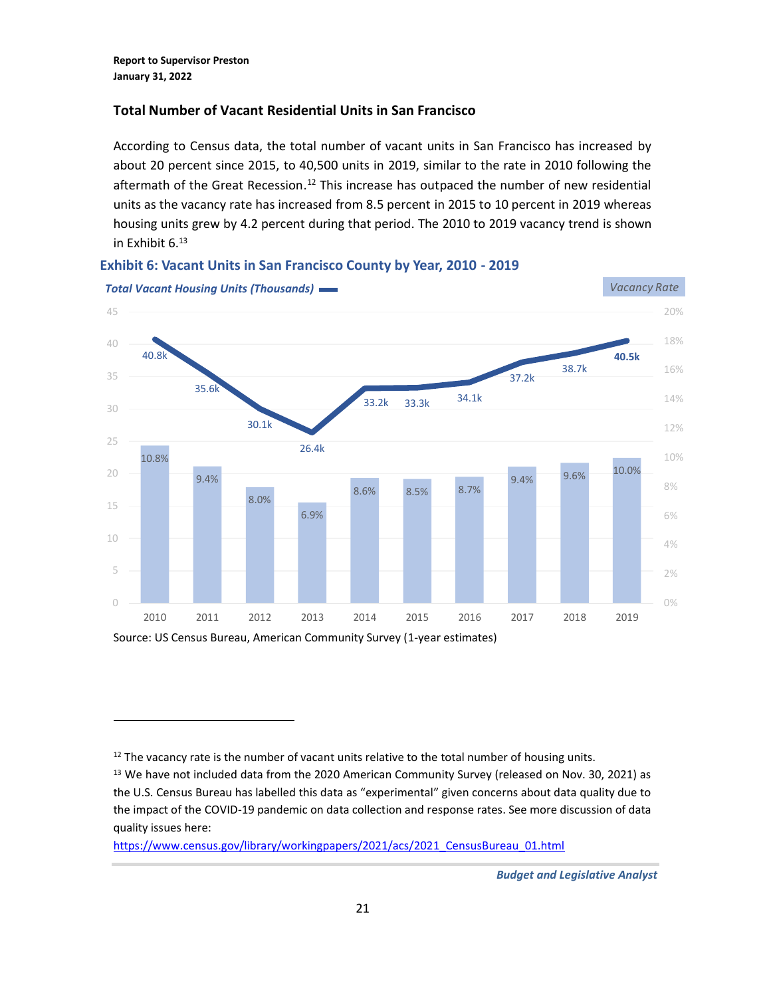## **Total Number of Vacant Residential Units in San Francisco**

According to Census data, the total number of vacant units in San Francisco has increased by about 20 percent since 2015, to 40,500 units in 2019, similar to the rate in 2010 following the aftermath of the Great Recession.<sup>12</sup> This increase has outpaced the number of new residential units as the vacancy rate has increased from 8.5 percent in 2015 to 10 percent in 2019 whereas housing units grew by 4.2 percent during that period. The 2010 to 2019 vacancy trend is shown in Exhibit  $6^{13}$ 



#### **Exhibit 6: Vacant Units in San Francisco County by Year, 2010 - 2019**

https://www.census.gov/library/workingpapers/2021/acs/2021 CensusBureau 01.html

 $12$  The vacancy rate is the number of vacant units relative to the total number of housing units.

<sup>&</sup>lt;sup>13</sup> We have not included data from the 2020 American Community Survey (released on Nov. 30, 2021) as the U.S. Census Bureau has labelled this data as "experimental" given concerns about data quality due to the impact of the COVID-19 pandemic on data collection and response rates. See more discussion of data quality issues here:

*Budget and Legislative Analyst*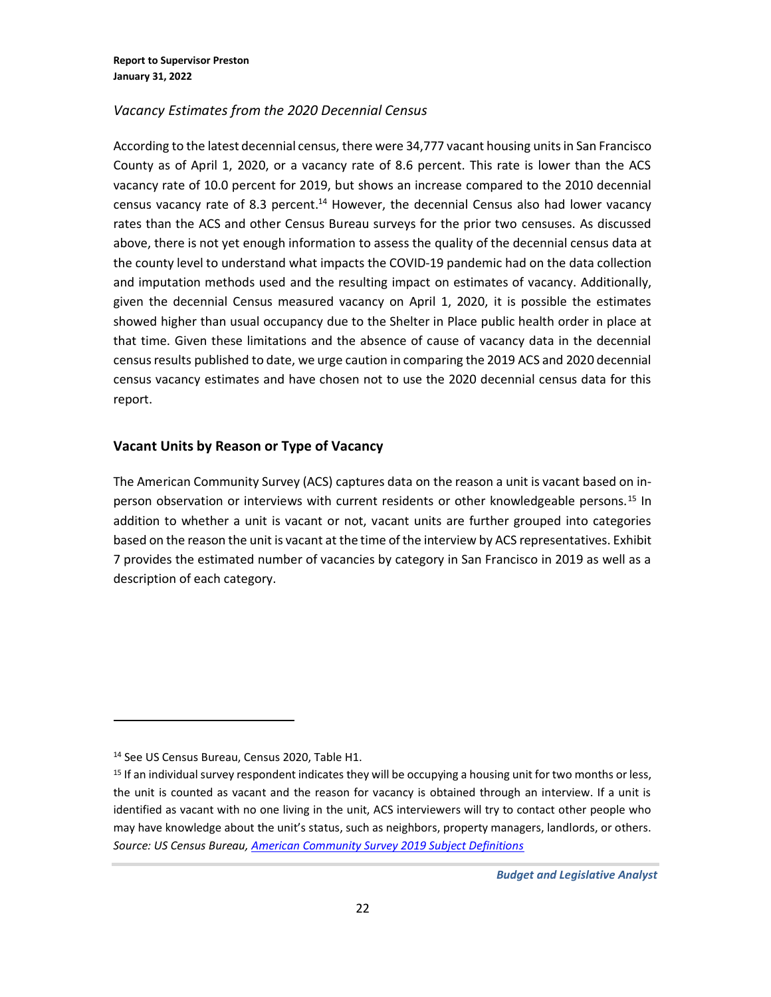### *Vacancy Estimates from the 2020 Decennial Census*

According to the latest decennial census, there were 34,777 vacant housing units in San Francisco County as of April 1, 2020, or a vacancy rate of 8.6 percent. This rate is lower than the ACS vacancy rate of 10.0 percent for 2019, but shows an increase compared to the 2010 decennial census vacancy rate of 8.3 percent.<sup>14</sup> However, the decennial Census also had lower vacancy rates than the ACS and other Census Bureau surveys for the prior two censuses. As discussed above, there is not yet enough information to assess the quality of the decennial census data at the county level to understand what impacts the COVID-19 pandemic had on the data collection and imputation methods used and the resulting impact on estimates of vacancy. Additionally, given the decennial Census measured vacancy on April 1, 2020, it is possible the estimates showed higher than usual occupancy due to the Shelter in Place public health order in place at that time. Given these limitations and the absence of cause of vacancy data in the decennial census results published to date, we urge caution in comparing the 2019 ACS and 2020 decennial census vacancy estimates and have chosen not to use the 2020 decennial census data for this report.

### **Vacant Units by Reason or Type of Vacancy**

The American Community Survey (ACS) captures data on the reason a unit is vacant based on inperson observation or interviews with current residents or other knowledgeable persons.<sup>15</sup> In addition to whether a unit is vacant or not, vacant units are further grouped into categories based on the reason the unit is vacant at the time of the interview by ACS representatives. Exhibit 7 provides the estimated number of vacancies by category in San Francisco in 2019 as well as a description of each category.

<sup>14</sup> See US Census Bureau, Census 2020, Table H1.

<sup>&</sup>lt;sup>15</sup> If an individual survey respondent indicates they will be occupying a housing unit for two months or less, the unit is counted as vacant and the reason for vacancy is obtained through an interview. If a unit is identified as vacant with no one living in the unit, ACS interviewers will try to contact other people who may have knowledge about the unit's status, such as neighbors, property managers, landlords, or others. *Source: US Census Bureau[, American Community Survey 2019 Subject Definitions](https://www2.census.gov/programs-surveys/acs/tech_docs/subject_definitions/2019_ACSSubjectDefinitions.pdf)*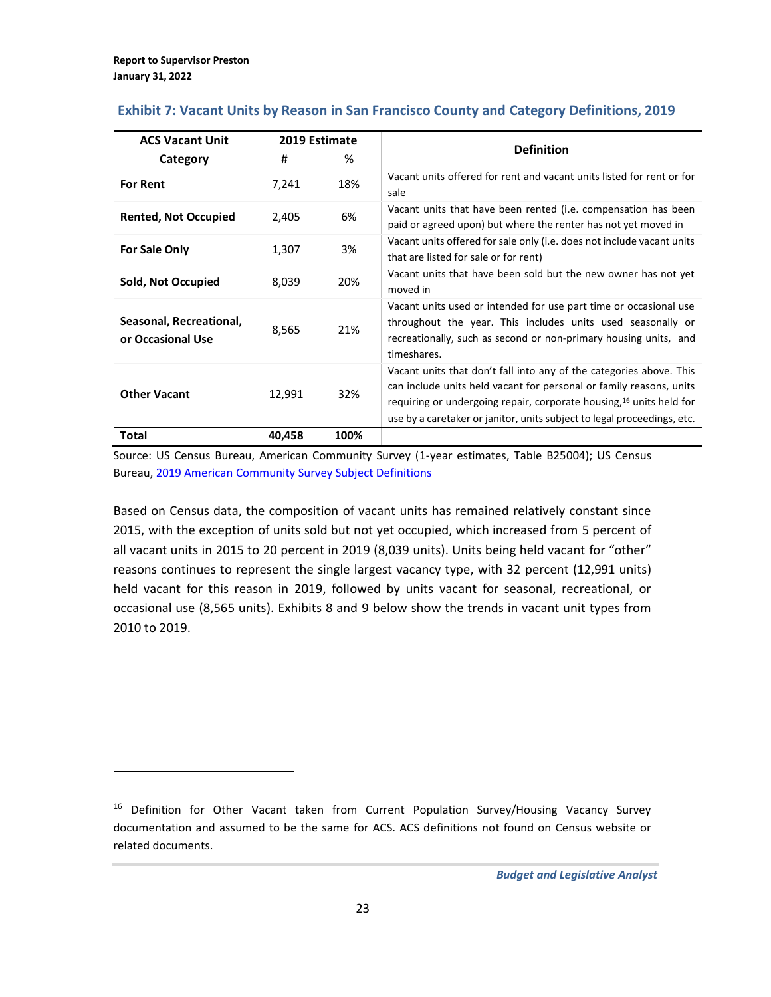| <b>ACS Vacant Unit</b>                       | 2019 Estimate |      | <b>Definition</b>                                                                                                                                                                                                                                                                             |  |
|----------------------------------------------|---------------|------|-----------------------------------------------------------------------------------------------------------------------------------------------------------------------------------------------------------------------------------------------------------------------------------------------|--|
| Category                                     | #             | %    |                                                                                                                                                                                                                                                                                               |  |
| <b>For Rent</b>                              | 7,241         | 18%  | Vacant units offered for rent and vacant units listed for rent or for<br>sale                                                                                                                                                                                                                 |  |
| <b>Rented, Not Occupied</b>                  | 2,405         | 6%   | Vacant units that have been rented (i.e. compensation has been<br>paid or agreed upon) but where the renter has not yet moved in                                                                                                                                                              |  |
| <b>For Sale Only</b>                         | 1,307         | 3%   | Vacant units offered for sale only (i.e. does not include vacant units<br>that are listed for sale or for rent)                                                                                                                                                                               |  |
| Sold, Not Occupied                           | 8,039         | 20%  | Vacant units that have been sold but the new owner has not yet<br>moved in                                                                                                                                                                                                                    |  |
| Seasonal, Recreational,<br>or Occasional Use | 8,565         | 21%  | Vacant units used or intended for use part time or occasional use<br>throughout the year. This includes units used seasonally or<br>recreationally, such as second or non-primary housing units, and<br>timeshares.                                                                           |  |
| <b>Other Vacant</b>                          | 12,991        | 32%  | Vacant units that don't fall into any of the categories above. This<br>can include units held vacant for personal or family reasons, units<br>requiring or undergoing repair, corporate housing, 16 units held for<br>use by a caretaker or janitor, units subject to legal proceedings, etc. |  |
| Total                                        | 40,458        | 100% |                                                                                                                                                                                                                                                                                               |  |

## **Exhibit 7: Vacant Units by Reason in San Francisco County and Category Definitions, 2019**

Source: US Census Bureau, American Community Survey (1-year estimates, Table B25004); US Census Bureau, [2019 American Community Survey Subject Definitions](source:%20US%20Census%20Bureau,%20American%20Community%20Survey%20(1-year%20estimates))

Based on Census data, the composition of vacant units has remained relatively constant since 2015, with the exception of units sold but not yet occupied, which increased from 5 percent of all vacant units in 2015 to 20 percent in 2019 (8,039 units). Units being held vacant for "other" reasons continues to represent the single largest vacancy type, with 32 percent (12,991 units) held vacant for this reason in 2019, followed by units vacant for seasonal, recreational, or occasional use (8,565 units). Exhibits 8 and 9 below show the trends in vacant unit types from 2010 to 2019.

<sup>&</sup>lt;sup>16</sup> Definition for Other Vacant taken from Current Population Survey/Housing Vacancy Survey documentation and assumed to be the same for ACS. ACS definitions not found on Census website or related documents.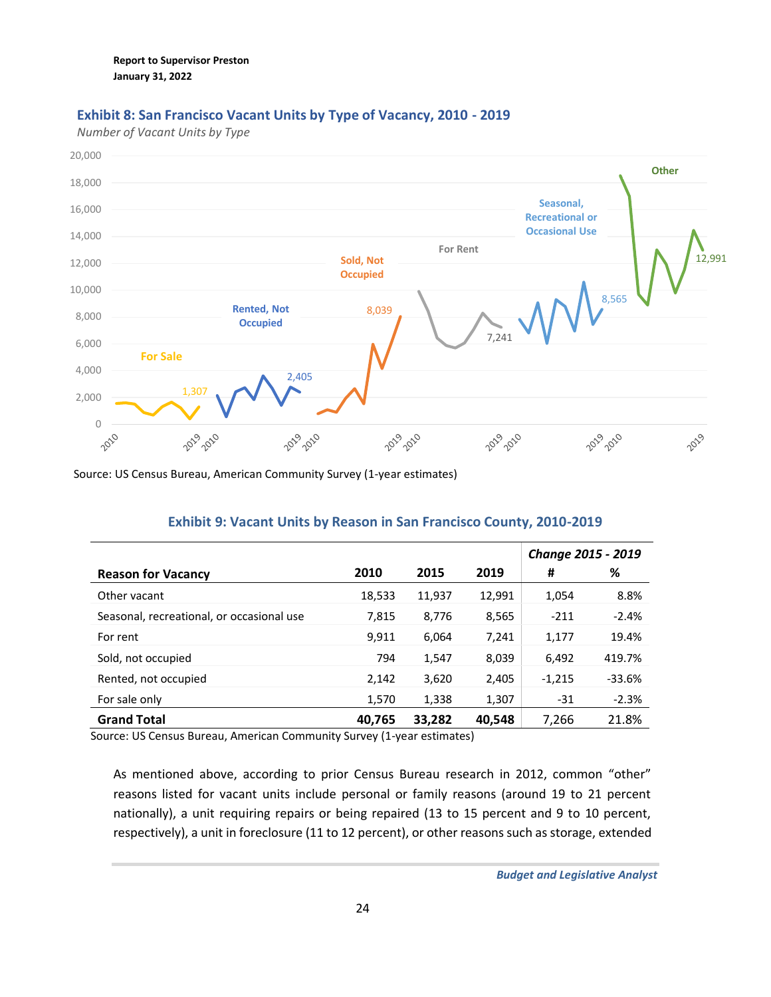## **Exhibit 8: San Francisco Vacant Units by Type of Vacancy, 2010 - 2019**

*Number of Vacant Units by Type*



Source: US Census Bureau, American Community Survey (1-year estimates)

|                                           |        |        |        | <b>Change 2015 - 2019</b> |          |
|-------------------------------------------|--------|--------|--------|---------------------------|----------|
| <b>Reason for Vacancy</b>                 | 2010   | 2015   | 2019   | #                         | %        |
| Other vacant                              | 18,533 | 11,937 | 12.991 | 1,054                     | 8.8%     |
| Seasonal, recreational, or occasional use | 7,815  | 8.776  | 8,565  | $-211$                    | $-2.4%$  |
| For rent                                  | 9.911  | 6.064  | 7,241  | 1,177                     | 19.4%    |
| Sold, not occupied                        | 794    | 1,547  | 8,039  | 6,492                     | 419.7%   |
| Rented, not occupied                      | 2,142  | 3,620  | 2,405  | $-1,215$                  | $-33.6%$ |
| For sale only                             | 1,570  | 1,338  | 1,307  | -31                       | $-2.3%$  |
| <b>Grand Total</b>                        | 40,765 | 33,282 | 40,548 | 7,266                     | 21.8%    |

### **Exhibit 9: Vacant Units by Reason in San Francisco County, 2010-2019**

Source: US Census Bureau, American Community Survey (1-year estimates)

As mentioned above, according to prior Census Bureau research in 2012, common "other" reasons listed for vacant units include personal or family reasons (around 19 to 21 percent nationally), a unit requiring repairs or being repaired (13 to 15 percent and 9 to 10 percent, respectively), a unit in foreclosure (11 to 12 percent), or other reasons such as storage, extended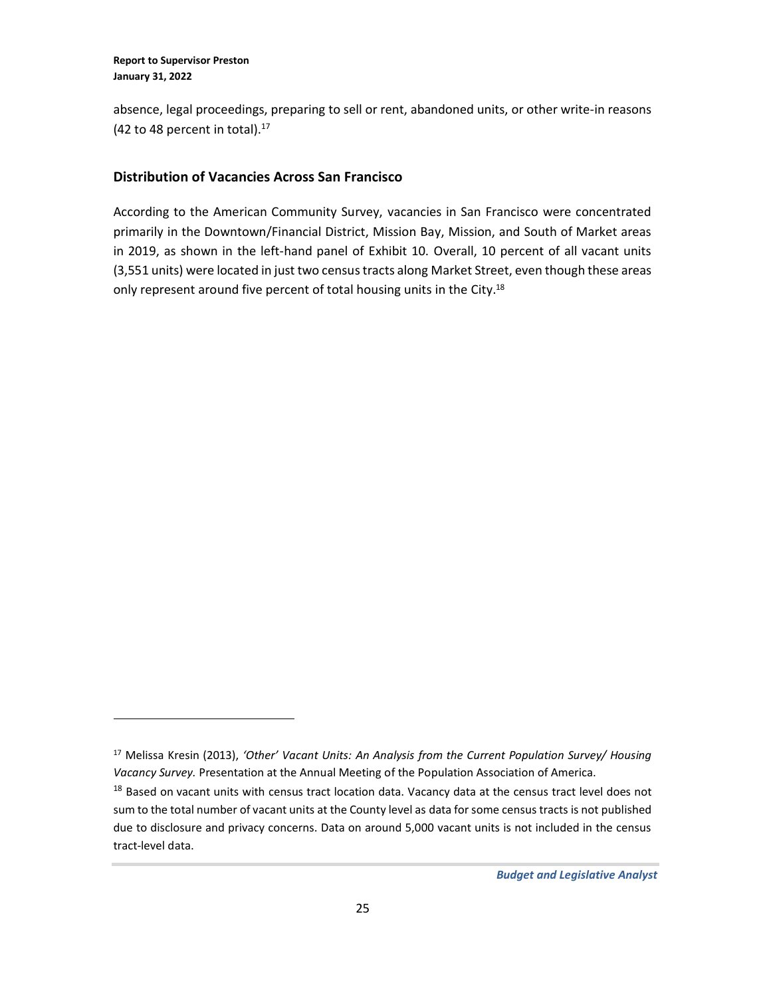absence, legal proceedings, preparing to sell or rent, abandoned units, or other write-in reasons  $(42 \text{ to } 48 \text{ percent in total}).$ <sup>17</sup>

### **Distribution of Vacancies Across San Francisco**

According to the American Community Survey, vacancies in San Francisco were concentrated primarily in the Downtown/Financial District, Mission Bay, Mission, and South of Market areas in 2019, as shown in the left-hand panel of Exhibit 10. Overall, 10 percent of all vacant units (3,551 units) were located in just two census tracts along Market Street, even though these areas only represent around five percent of total housing units in the City.<sup>18</sup>

<sup>17</sup> Melissa Kresin (2013), *'Other' Vacant Units: An Analysis from the Current Population Survey/ Housing Vacancy Survey.* Presentation at the Annual Meeting of the Population Association of America.

<sup>&</sup>lt;sup>18</sup> Based on vacant units with census tract location data. Vacancy data at the census tract level does not sum to the total number of vacant units at the County level as data for some census tracts is not published due to disclosure and privacy concerns. Data on around 5,000 vacant units is not included in the census tract-level data.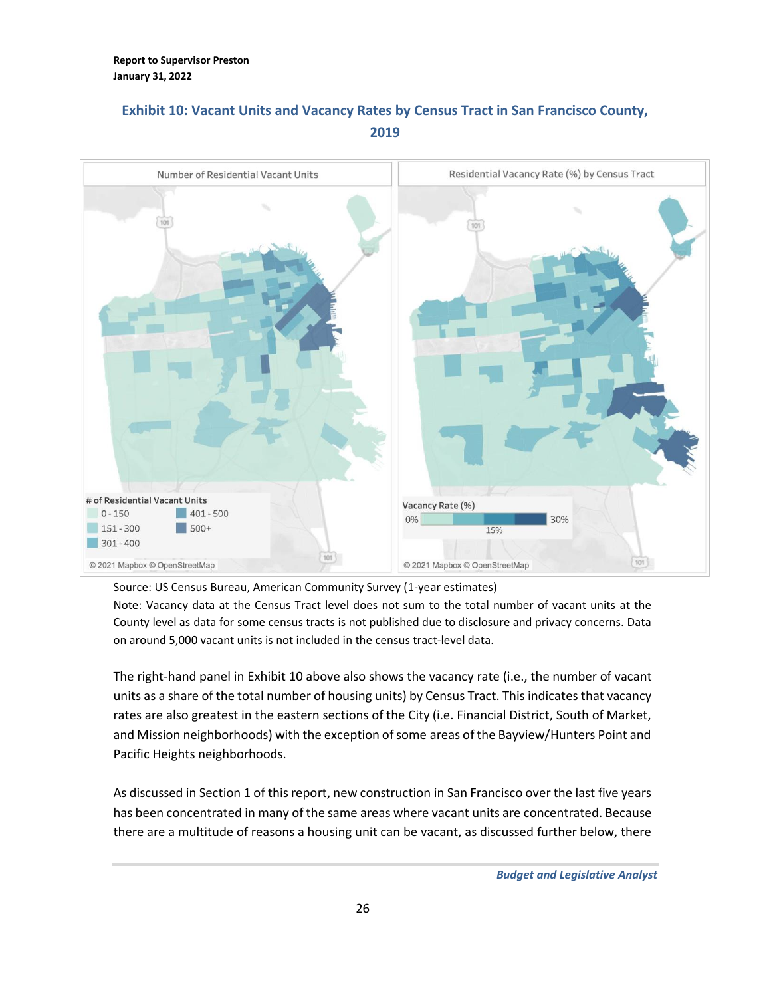# **Exhibit 10: Vacant Units and Vacancy Rates by Census Tract in San Francisco County, 2019**



Source: US Census Bureau, American Community Survey (1-year estimates)

Note: Vacancy data at the Census Tract level does not sum to the total number of vacant units at the County level as data for some census tracts is not published due to disclosure and privacy concerns. Data on around 5,000 vacant units is not included in the census tract-level data.

The right-hand panel in Exhibit 10 above also shows the vacancy rate (i.e., the number of vacant units as a share of the total number of housing units) by Census Tract. This indicates that vacancy rates are also greatest in the eastern sections of the City (i.e. Financial District, South of Market, and Mission neighborhoods) with the exception of some areas of the Bayview/Hunters Point and Pacific Heights neighborhoods.

As discussed in Section 1 of this report, new construction in San Francisco over the last five years has been concentrated in many of the same areas where vacant units are concentrated. Because there are a multitude of reasons a housing unit can be vacant, as discussed further below, there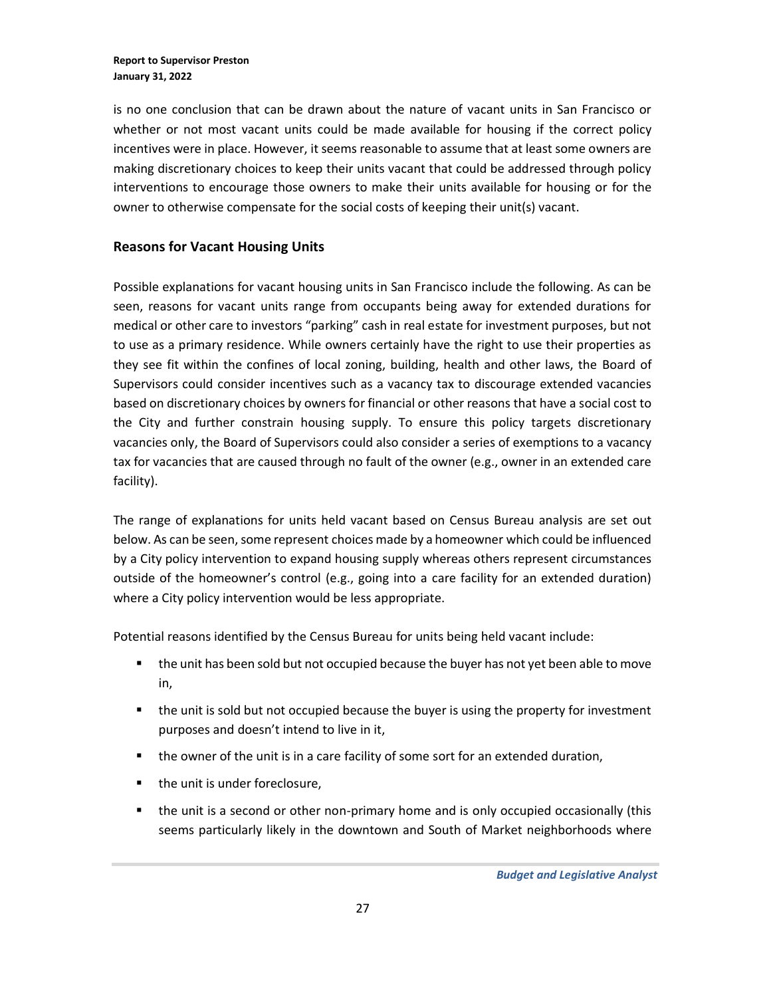is no one conclusion that can be drawn about the nature of vacant units in San Francisco or whether or not most vacant units could be made available for housing if the correct policy incentives were in place. However, it seems reasonable to assume that at least some owners are making discretionary choices to keep their units vacant that could be addressed through policy interventions to encourage those owners to make their units available for housing or for the owner to otherwise compensate for the social costs of keeping their unit(s) vacant.

### **Reasons for Vacant Housing Units**

Possible explanations for vacant housing units in San Francisco include the following. As can be seen, reasons for vacant units range from occupants being away for extended durations for medical or other care to investors "parking" cash in real estate for investment purposes, but not to use as a primary residence. While owners certainly have the right to use their properties as they see fit within the confines of local zoning, building, health and other laws, the Board of Supervisors could consider incentives such as a vacancy tax to discourage extended vacancies based on discretionary choices by owners for financial or other reasons that have a social cost to the City and further constrain housing supply. To ensure this policy targets discretionary vacancies only, the Board of Supervisors could also consider a series of exemptions to a vacancy tax for vacancies that are caused through no fault of the owner (e.g., owner in an extended care facility).

The range of explanations for units held vacant based on Census Bureau analysis are set out below. As can be seen, some represent choices made by a homeowner which could be influenced by a City policy intervention to expand housing supply whereas others represent circumstances outside of the homeowner's control (e.g., going into a care facility for an extended duration) where a City policy intervention would be less appropriate.

Potential reasons identified by the Census Bureau for units being held vacant include:

- the unit has been sold but not occupied because the buyer has not yet been able to move in,
- the unit is sold but not occupied because the buyer is using the property for investment purposes and doesn't intend to live in it,
- the owner of the unit is in a care facility of some sort for an extended duration,
- the unit is under foreclosure,
- the unit is a second or other non-primary home and is only occupied occasionally (this seems particularly likely in the downtown and South of Market neighborhoods where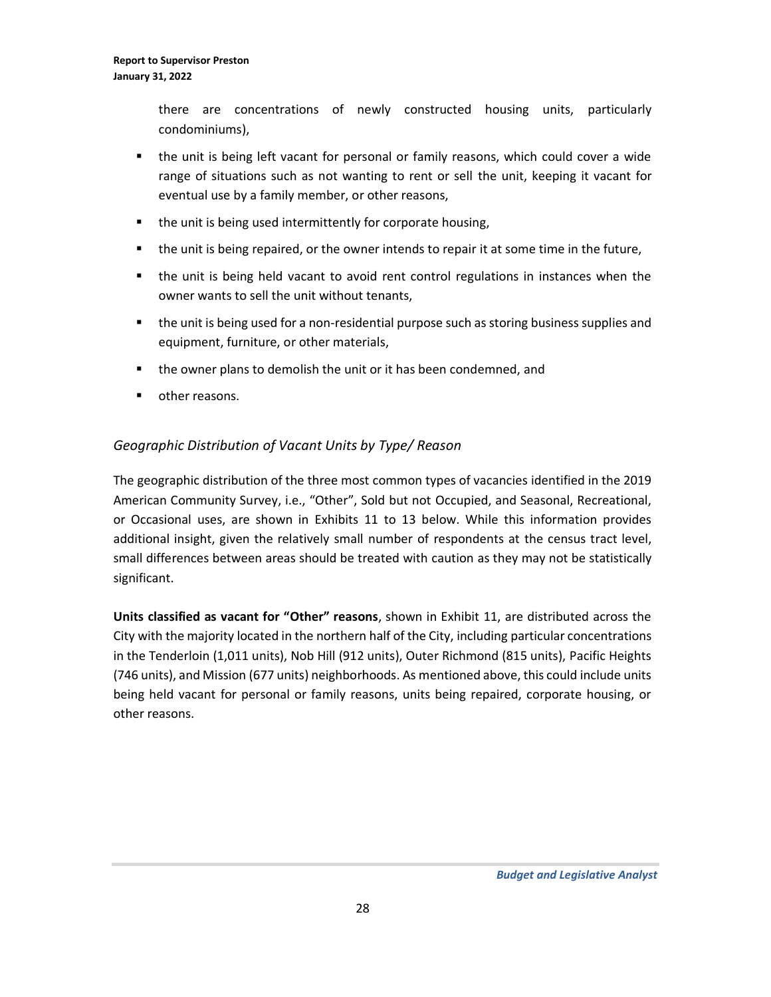there are concentrations of newly constructed housing units, particularly condominiums),

- the unit is being left vacant for personal or family reasons, which could cover a wide range of situations such as not wanting to rent or sell the unit, keeping it vacant for eventual use by a family member, or other reasons,
- the unit is being used intermittently for corporate housing,
- the unit is being repaired, or the owner intends to repair it at some time in the future,
- the unit is being held vacant to avoid rent control regulations in instances when the owner wants to sell the unit without tenants,
- the unit is being used for a non-residential purpose such as storing business supplies and equipment, furniture, or other materials,
- the owner plans to demolish the unit or it has been condemned, and
- other reasons.

## *Geographic Distribution of Vacant Units by Type/ Reason*

The geographic distribution of the three most common types of vacancies identified in the 2019 American Community Survey, i.e., "Other", Sold but not Occupied, and Seasonal, Recreational, or Occasional uses, are shown in Exhibits 11 to 13 below. While this information provides additional insight, given the relatively small number of respondents at the census tract level, small differences between areas should be treated with caution as they may not be statistically significant.

**Units classified as vacant for "Other" reasons**, shown in Exhibit 11, are distributed across the City with the majority located in the northern half of the City, including particular concentrations in the Tenderloin (1,011 units), Nob Hill (912 units), Outer Richmond (815 units), Pacific Heights (746 units), and Mission (677 units) neighborhoods. As mentioned above, this could include units being held vacant for personal or family reasons, units being repaired, corporate housing, or other reasons.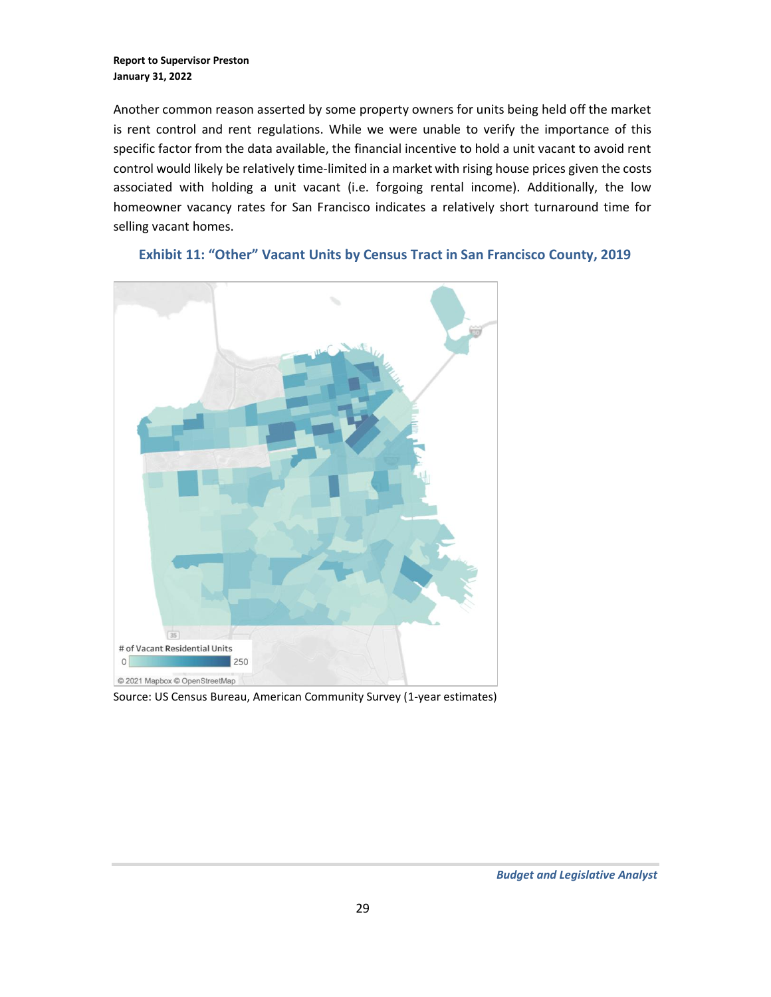Another common reason asserted by some property owners for units being held off the market is rent control and rent regulations. While we were unable to verify the importance of this specific factor from the data available, the financial incentive to hold a unit vacant to avoid rent control would likely be relatively time-limited in a market with rising house prices given the costs associated with holding a unit vacant (i.e. forgoing rental income). Additionally, the low homeowner vacancy rates for San Francisco indicates a relatively short turnaround time for selling vacant homes.



### **Exhibit 11: "Other" Vacant Units by Census Tract in San Francisco County, 2019**

Source: US Census Bureau, American Community Survey (1-year estimates)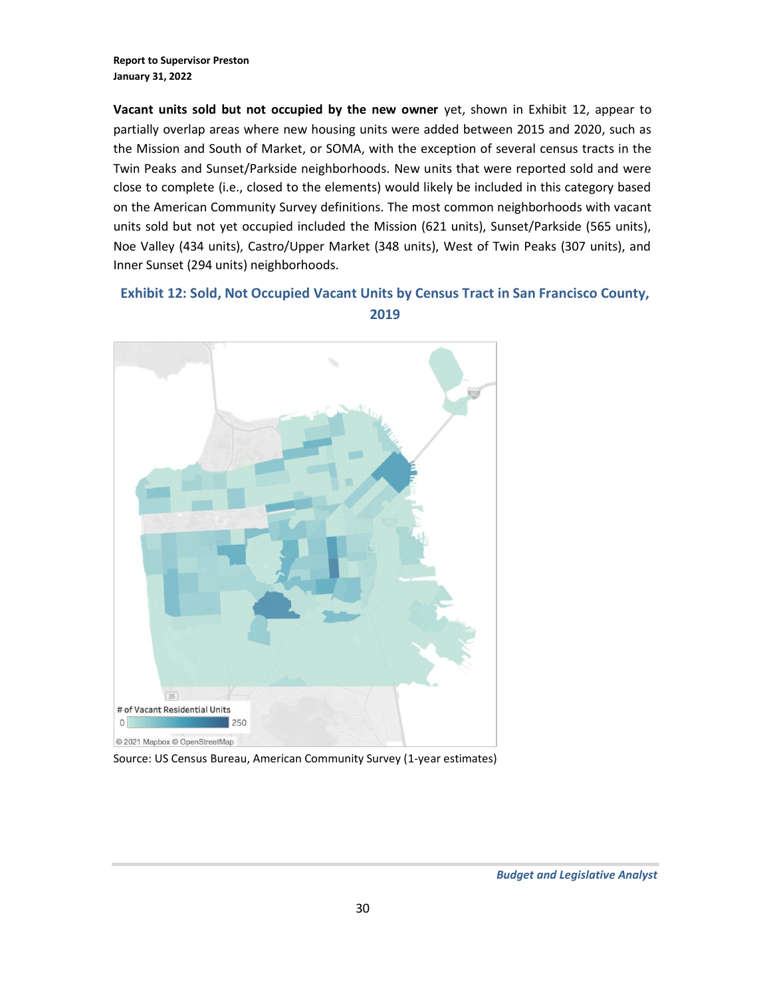**Vacant units sold but not occupied by the new owner** yet, shown in Exhibit 12, appear to partially overlap areas where new housing units were added between 2015 and 2020, such as the Mission and South of Market, or SOMA, with the exception of several census tracts in the Twin Peaks and Sunset/Parkside neighborhoods. New units that were reported sold and were close to complete (i.e., closed to the elements) would likely be included in this category based on the American Community Survey definitions. The most common neighborhoods with vacant units sold but not yet occupied included the Mission (621 units), Sunset/Parkside (565 units), Noe Valley (434 units), Castro/Upper Market (348 units), West of Twin Peaks (307 units), and Inner Sunset (294 units) neighborhoods.

## **Exhibit 12: Sold, Not Occupied Vacant Units by Census Tract in San Francisco County, 2019**



Source: US Census Bureau, American Community Survey (1-year estimates)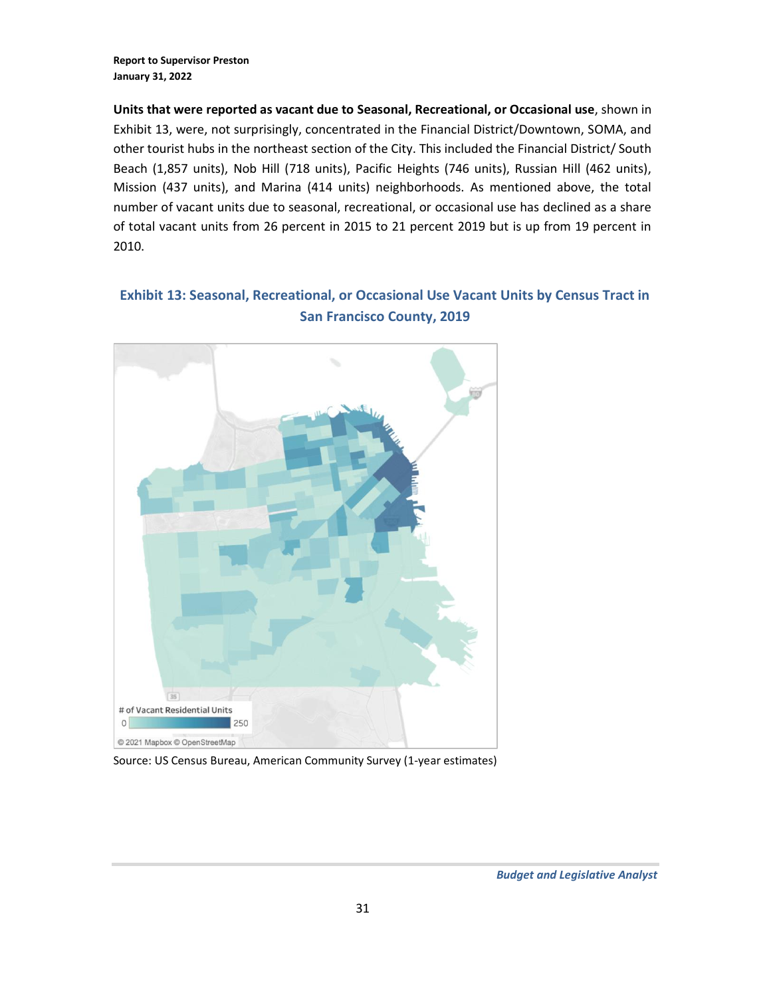**Units that were reported as vacant due to Seasonal, Recreational, or Occasional use**, shown in Exhibit 13, were, not surprisingly, concentrated in the Financial District/Downtown, SOMA, and other tourist hubs in the northeast section of the City. This included the Financial District/ South Beach (1,857 units), Nob Hill (718 units), Pacific Heights (746 units), Russian Hill (462 units), Mission (437 units), and Marina (414 units) neighborhoods. As mentioned above, the total number of vacant units due to seasonal, recreational, or occasional use has declined as a share of total vacant units from 26 percent in 2015 to 21 percent 2019 but is up from 19 percent in 2010.

## **Exhibit 13: Seasonal, Recreational, or Occasional Use Vacant Units by Census Tract in San Francisco County, 2019**



Source: US Census Bureau, American Community Survey (1-year estimates)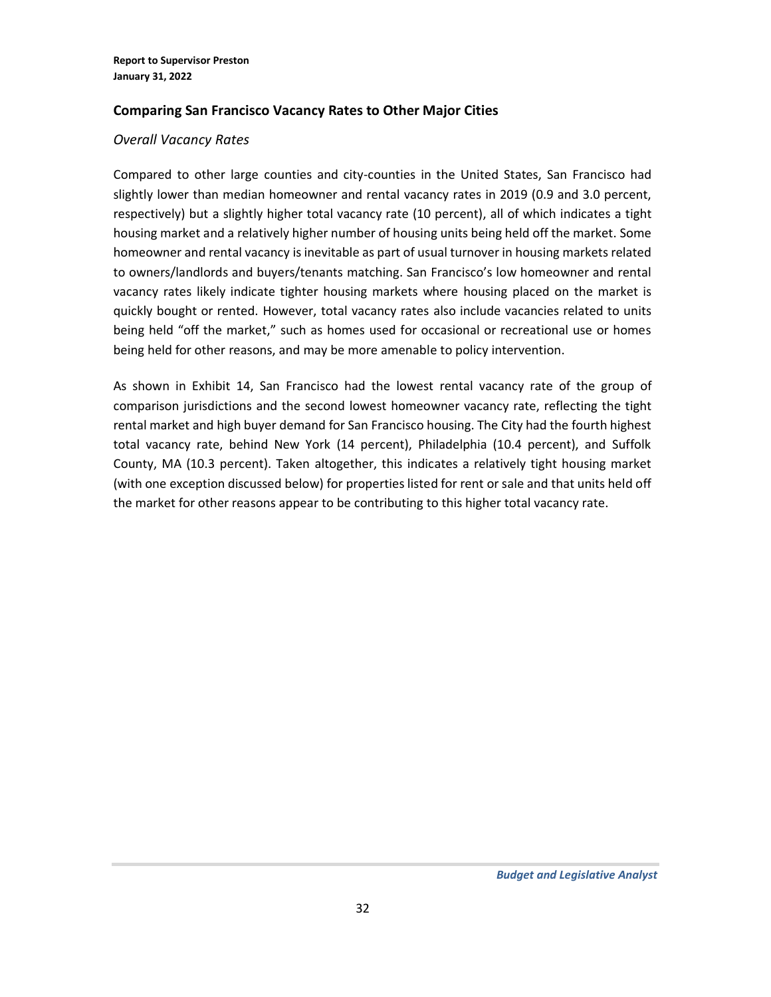### **Comparing San Francisco Vacancy Rates to Other Major Cities**

### *Overall Vacancy Rates*

Compared to other large counties and city-counties in the United States, San Francisco had slightly lower than median homeowner and rental vacancy rates in 2019 (0.9 and 3.0 percent, respectively) but a slightly higher total vacancy rate (10 percent), all of which indicates a tight housing market and a relatively higher number of housing units being held off the market. Some homeowner and rental vacancy is inevitable as part of usual turnover in housing markets related to owners/landlords and buyers/tenants matching. San Francisco's low homeowner and rental vacancy rates likely indicate tighter housing markets where housing placed on the market is quickly bought or rented. However, total vacancy rates also include vacancies related to units being held "off the market," such as homes used for occasional or recreational use or homes being held for other reasons, and may be more amenable to policy intervention.

As shown in Exhibit 14, San Francisco had the lowest rental vacancy rate of the group of comparison jurisdictions and the second lowest homeowner vacancy rate, reflecting the tight rental market and high buyer demand for San Francisco housing. The City had the fourth highest total vacancy rate, behind New York (14 percent), Philadelphia (10.4 percent), and Suffolk County, MA (10.3 percent). Taken altogether, this indicates a relatively tight housing market (with one exception discussed below) for properties listed for rent or sale and that units held off the market for other reasons appear to be contributing to this higher total vacancy rate.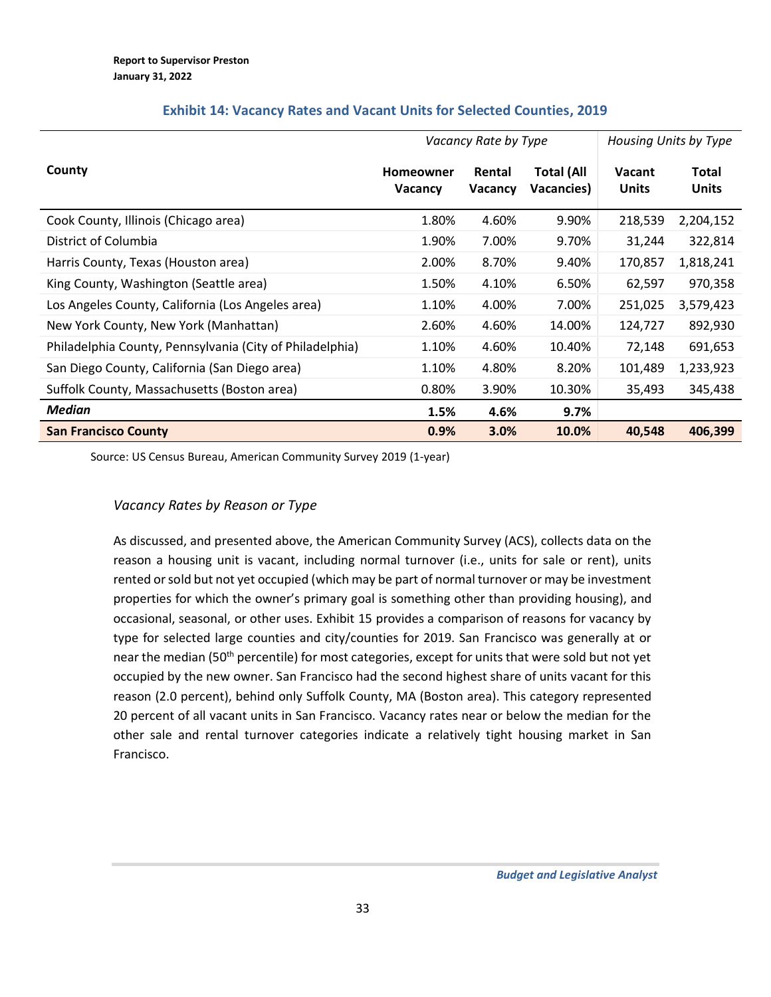|                                                          | Vacancy Rate by Type        |                          |                                 | Housing Units by Type         |                              |
|----------------------------------------------------------|-----------------------------|--------------------------|---------------------------------|-------------------------------|------------------------------|
| County                                                   | <b>Homeowner</b><br>Vacancy | Rental<br><b>Vacancy</b> | <b>Total (All</b><br>Vacancies) | <b>Vacant</b><br><b>Units</b> | <b>Total</b><br><b>Units</b> |
| Cook County, Illinois (Chicago area)                     | 1.80%                       | 4.60%                    | 9.90%                           | 218,539                       | 2,204,152                    |
| District of Columbia                                     | 1.90%                       | 7.00%                    | 9.70%                           | 31,244                        | 322,814                      |
| Harris County, Texas (Houston area)                      | 2.00%                       | 8.70%                    | 9.40%                           | 170,857                       | 1,818,241                    |
| King County, Washington (Seattle area)                   | 1.50%                       | 4.10%                    | 6.50%                           | 62,597                        | 970,358                      |
| Los Angeles County, California (Los Angeles area)        | 1.10%                       | 4.00%                    | 7.00%                           | 251,025                       | 3,579,423                    |
| New York County, New York (Manhattan)                    | 2.60%                       | 4.60%                    | 14.00%                          | 124,727                       | 892,930                      |
| Philadelphia County, Pennsylvania (City of Philadelphia) | 1.10%                       | 4.60%                    | 10.40%                          | 72,148                        | 691,653                      |
| San Diego County, California (San Diego area)            | 1.10%                       | 4.80%                    | 8.20%                           | 101,489                       | 1,233,923                    |
| Suffolk County, Massachusetts (Boston area)              | 0.80%                       | 3.90%                    | 10.30%                          | 35,493                        | 345,438                      |
| Median                                                   | 1.5%                        | 4.6%                     | 9.7%                            |                               |                              |
| <b>San Francisco County</b>                              | 0.9%                        | 3.0%                     | 10.0%                           | 40,548                        | 406,399                      |

### **Exhibit 14: Vacancy Rates and Vacant Units for Selected Counties, 2019**

Source: US Census Bureau, American Community Survey 2019 (1-year)

## *Vacancy Rates by Reason or Type*

As discussed, and presented above, the American Community Survey (ACS), collects data on the reason a housing unit is vacant, including normal turnover (i.e., units for sale or rent), units rented or sold but not yet occupied (which may be part of normal turnover or may be investment properties for which the owner's primary goal is something other than providing housing), and occasional, seasonal, or other uses. Exhibit 15 provides a comparison of reasons for vacancy by type for selected large counties and city/counties for 2019. San Francisco was generally at or near the median (50<sup>th</sup> percentile) for most categories, except for units that were sold but not yet occupied by the new owner. San Francisco had the second highest share of units vacant for this reason (2.0 percent), behind only Suffolk County, MA (Boston area). This category represented 20 percent of all vacant units in San Francisco. Vacancy rates near or below the median for the other sale and rental turnover categories indicate a relatively tight housing market in San Francisco.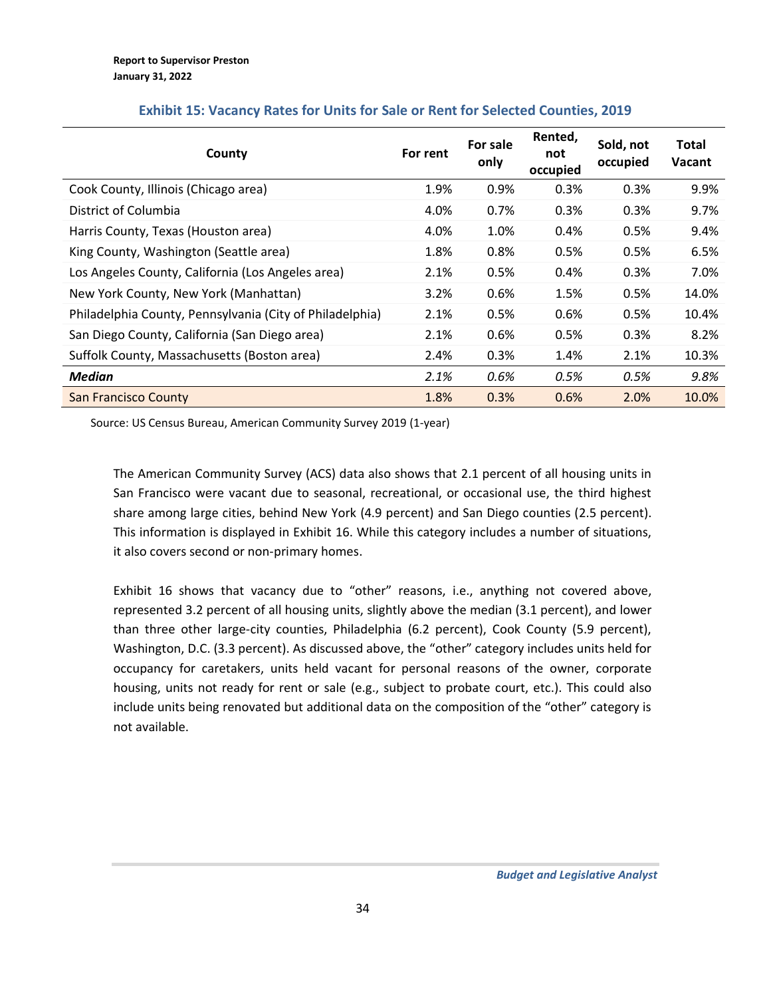| County                                                   | For rent | For sale<br>only | Rented,<br>not<br>occupied | Sold, not<br>occupied | Total<br>Vacant |
|----------------------------------------------------------|----------|------------------|----------------------------|-----------------------|-----------------|
| Cook County, Illinois (Chicago area)                     | 1.9%     | 0.9%             | 0.3%                       | 0.3%                  | 9.9%            |
| District of Columbia                                     | 4.0%     | 0.7%             | 0.3%                       | 0.3%                  | 9.7%            |
| Harris County, Texas (Houston area)                      | 4.0%     | 1.0%             | 0.4%                       | 0.5%                  | 9.4%            |
| King County, Washington (Seattle area)                   | 1.8%     | 0.8%             | 0.5%                       | 0.5%                  | 6.5%            |
| Los Angeles County, California (Los Angeles area)        | 2.1%     | 0.5%             | 0.4%                       | 0.3%                  | 7.0%            |
| New York County, New York (Manhattan)                    | 3.2%     | 0.6%             | 1.5%                       | 0.5%                  | 14.0%           |
| Philadelphia County, Pennsylvania (City of Philadelphia) | 2.1%     | 0.5%             | 0.6%                       | 0.5%                  | 10.4%           |
| San Diego County, California (San Diego area)            | 2.1%     | 0.6%             | 0.5%                       | 0.3%                  | 8.2%            |
| Suffolk County, Massachusetts (Boston area)              | 2.4%     | 0.3%             | 1.4%                       | 2.1%                  | 10.3%           |
| Median                                                   | 2.1%     | 0.6%             | 0.5%                       | 0.5%                  | 9.8%            |
| <b>San Francisco County</b>                              | 1.8%     | 0.3%             | 0.6%                       | 2.0%                  | 10.0%           |

### **Exhibit 15: Vacancy Rates for Units for Sale or Rent for Selected Counties, 2019**

Source: US Census Bureau, American Community Survey 2019 (1-year)

The American Community Survey (ACS) data also shows that 2.1 percent of all housing units in San Francisco were vacant due to seasonal, recreational, or occasional use, the third highest share among large cities, behind New York (4.9 percent) and San Diego counties (2.5 percent). This information is displayed in Exhibit 16. While this category includes a number of situations, it also covers second or non-primary homes.

Exhibit 16 shows that vacancy due to "other" reasons, i.e., anything not covered above, represented 3.2 percent of all housing units, slightly above the median (3.1 percent), and lower than three other large-city counties, Philadelphia (6.2 percent), Cook County (5.9 percent), Washington, D.C. (3.3 percent). As discussed above, the "other" category includes units held for occupancy for caretakers, units held vacant for personal reasons of the owner, corporate housing, units not ready for rent or sale (e.g., subject to probate court, etc.). This could also include units being renovated but additional data on the composition of the "other" category is not available.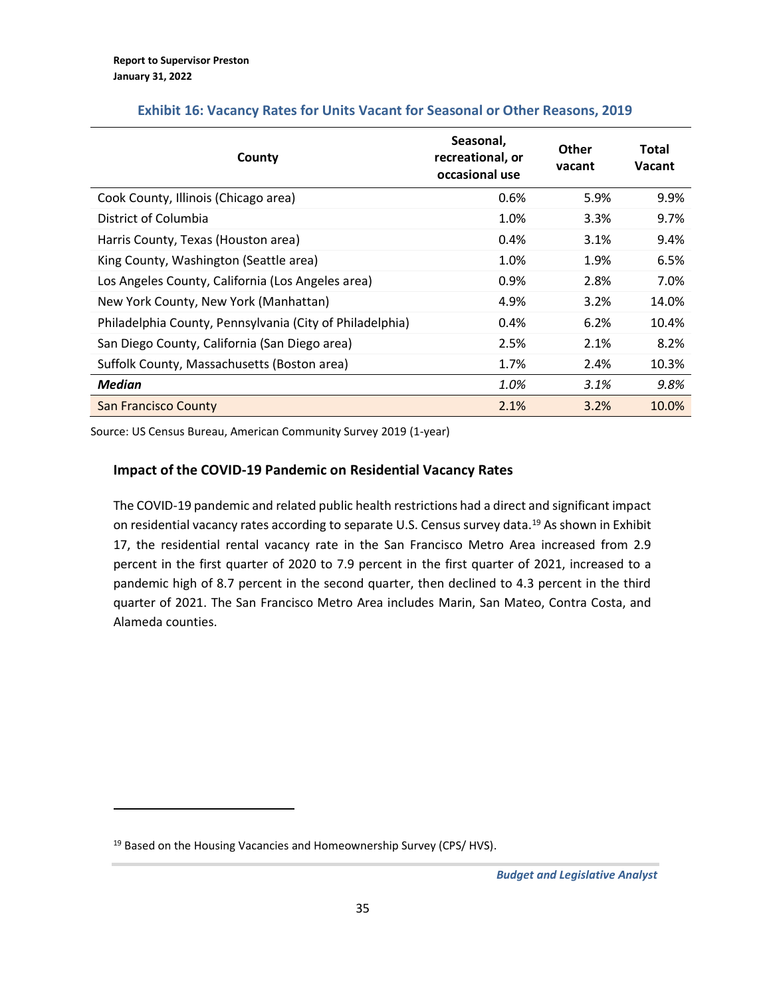| County                                                   | Seasonal,<br>recreational, or<br>occasional use | <b>Other</b><br>vacant | Total<br><b>Vacant</b> |
|----------------------------------------------------------|-------------------------------------------------|------------------------|------------------------|
| Cook County, Illinois (Chicago area)                     | 0.6%                                            | 5.9%                   | 9.9%                   |
| District of Columbia                                     | 1.0%                                            | 3.3%                   | 9.7%                   |
| Harris County, Texas (Houston area)                      | $0.4\%$                                         | 3.1%                   | 9.4%                   |
| King County, Washington (Seattle area)                   | 1.0%                                            | 1.9%                   | 6.5%                   |
| Los Angeles County, California (Los Angeles area)        | 0.9%                                            | 2.8%                   | 7.0%                   |
| New York County, New York (Manhattan)                    | 4.9%                                            | 3.2%                   | 14.0%                  |
| Philadelphia County, Pennsylvania (City of Philadelphia) | 0.4%                                            | 6.2%                   | 10.4%                  |
| San Diego County, California (San Diego area)            | 2.5%                                            | 2.1%                   | 8.2%                   |
| Suffolk County, Massachusetts (Boston area)              | 1.7%                                            | 2.4%                   | 10.3%                  |
| Median                                                   | 1.0%                                            | 3.1%                   | 9.8%                   |
| <b>San Francisco County</b>                              | 2.1%                                            | 3.2%                   | 10.0%                  |

### **Exhibit 16: Vacancy Rates for Units Vacant for Seasonal or Other Reasons, 2019**

Source: US Census Bureau, American Community Survey 2019 (1-year)

### **Impact of the COVID-19 Pandemic on Residential Vacancy Rates**

The COVID-19 pandemic and related public health restrictions had a direct and significant impact on residential vacancy rates according to separate U.S. Census survey data.<sup>19</sup> As shown in Exhibit 17, the residential rental vacancy rate in the San Francisco Metro Area increased from 2.9 percent in the first quarter of 2020 to 7.9 percent in the first quarter of 2021, increased to a pandemic high of 8.7 percent in the second quarter, then declined to 4.3 percent in the third quarter of 2021. The San Francisco Metro Area includes Marin, San Mateo, Contra Costa, and Alameda counties.

<sup>&</sup>lt;sup>19</sup> Based on the Housing Vacancies and Homeownership Survey (CPS/ HVS).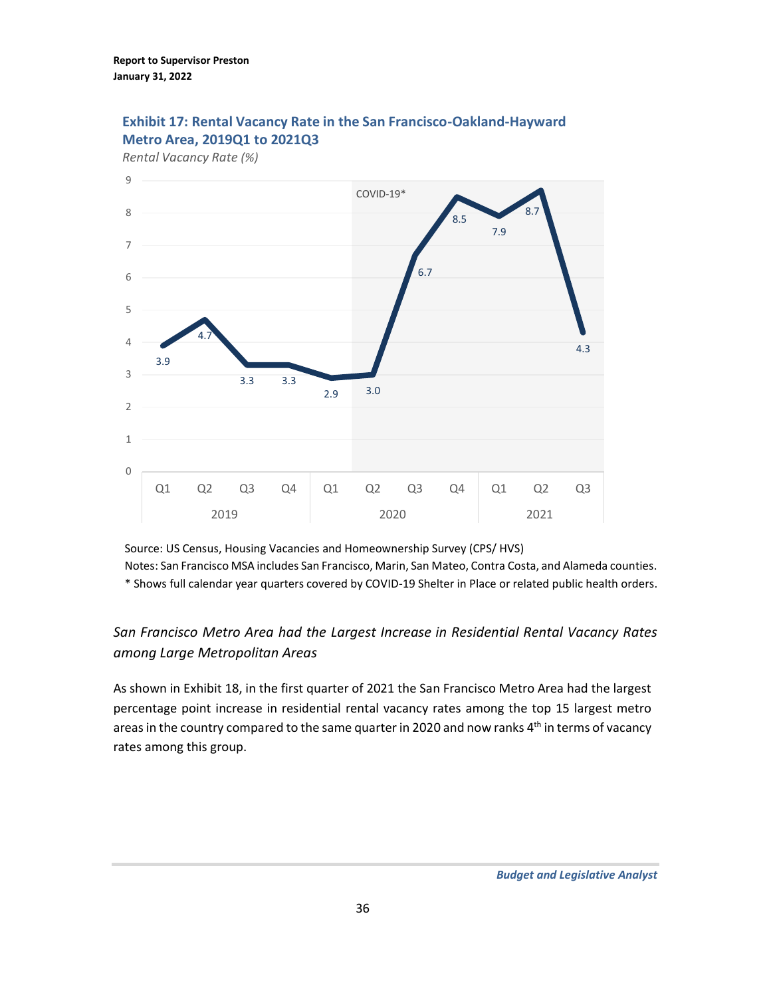

## **Exhibit 17: Rental Vacancy Rate in the San Francisco-Oakland-Hayward Metro Area, 2019Q1 to 2021Q3**

Source: US Census, Housing Vacancies and Homeownership Survey (CPS/ HVS) Notes: San Francisco MSA includes San Francisco, Marin, San Mateo, Contra Costa, and Alameda counties. \* Shows full calendar year quarters covered by COVID-19 Shelter in Place or related public health orders.

# *San Francisco Metro Area had the Largest Increase in Residential Rental Vacancy Rates among Large Metropolitan Areas*

As shown in Exhibit 18, in the first quarter of 2021 the San Francisco Metro Area had the largest percentage point increase in residential rental vacancy rates among the top 15 largest metro areas in the country compared to the same quarter in 2020 and now ranks 4<sup>th</sup> in terms of vacancy rates among this group.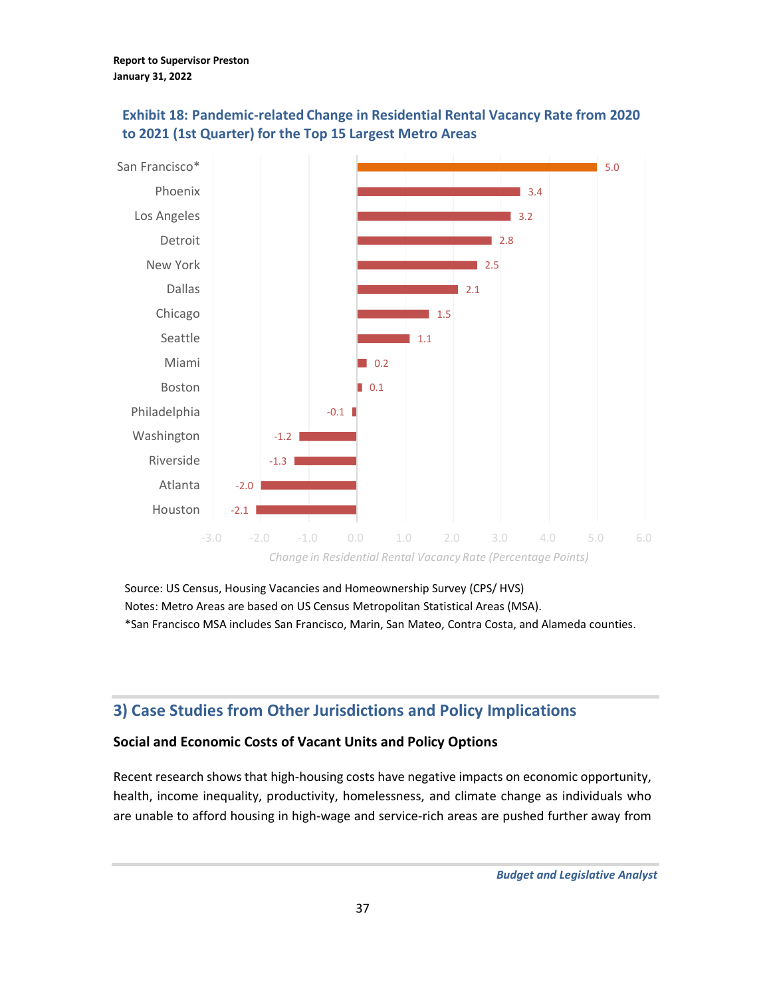

## **Exhibit 18: Pandemic-related Change in Residential Rental Vacancy Rate from 2020 to 2021 (1st Quarter) for the Top 15 Largest Metro Areas**

Source: US Census, Housing Vacancies and Homeownership Survey (CPS/ HVS) Notes: Metro Areas are based on US Census Metropolitan Statistical Areas (MSA). \*San Francisco MSA includes San Francisco, Marin, San Mateo, Contra Costa, and Alameda counties.

# <span id="page-36-0"></span>**3) Case Studies from Other Jurisdictions and Policy Implications**

### **Social and Economic Costs of Vacant Units and Policy Options**

Recent research shows that high-housing costs have negative impacts on economic opportunity, health, income inequality, productivity, homelessness, and climate change as individuals who are unable to afford housing in high-wage and service-rich areas are pushed further away from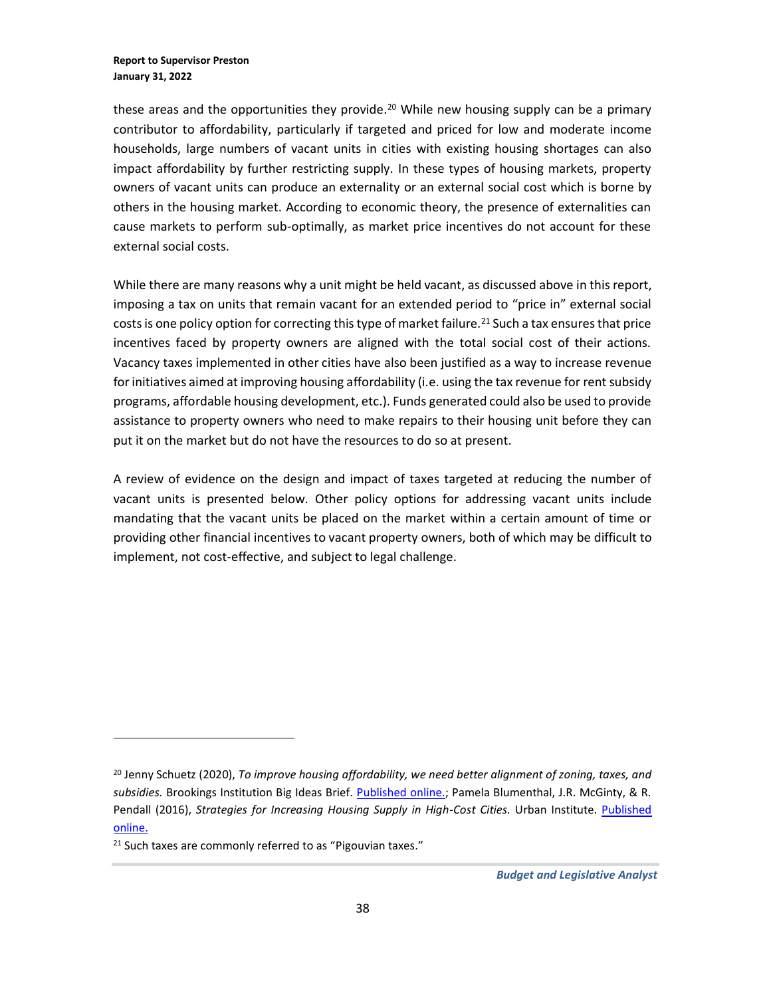these areas and the opportunities they provide.<sup>20</sup> While new housing supply can be a primary contributor to affordability, particularly if targeted and priced for low and moderate income households, large numbers of vacant units in cities with existing housing shortages can also impact affordability by further restricting supply. In these types of housing markets, property owners of vacant units can produce an externality or an external social cost which is borne by others in the housing market. According to economic theory, the presence of externalities can cause markets to perform sub-optimally, as market price incentives do not account for these external social costs.

While there are many reasons why a unit might be held vacant, as discussed above in this report, imposing a tax on units that remain vacant for an extended period to "price in" external social costs is one policy option for correcting this type of market failure.<sup>21</sup> Such a tax ensures that price incentives faced by property owners are aligned with the total social cost of their actions. Vacancy taxes implemented in other cities have also been justified as a way to increase revenue for initiatives aimed at improving housing affordability (i.e. using the tax revenue for rent subsidy programs, affordable housing development, etc.). Funds generated could also be used to provide assistance to property owners who need to make repairs to their housing unit before they can put it on the market but do not have the resources to do so at present.

A review of evidence on the design and impact of taxes targeted at reducing the number of vacant units is presented below. Other policy options for addressing vacant units include mandating that the vacant units be placed on the market within a certain amount of time or providing other financial incentives to vacant property owners, both of which may be difficult to implement, not cost-effective, and subject to legal challenge.

<sup>20</sup> Jenny Schuetz (2020), *To improve housing affordability, we need better alignment of zoning, taxes, and subsidies.* Brookings Institution Big Ideas Brief. [Published online.;](https://www.brookings.edu/policy2020/bigideas/to-improve-housing-affordability-we-need-better-alignment-of-zoning-taxes-and-subsidies/) Pamela Blumenthal, J.R. McGinty, & R. Pendall (2016), *Strategies for Increasing Housing Supply in High-Cost Cities*. Urban Institute. Published [online.](https://www.urban.org/sites/default/files/publication/83656/2000907-strategies-for-increasing-housing-supply-in-high-cost-cities-dc-case-study_2.pdf)

<sup>&</sup>lt;sup>21</sup> Such taxes are commonly referred to as "Pigouvian taxes."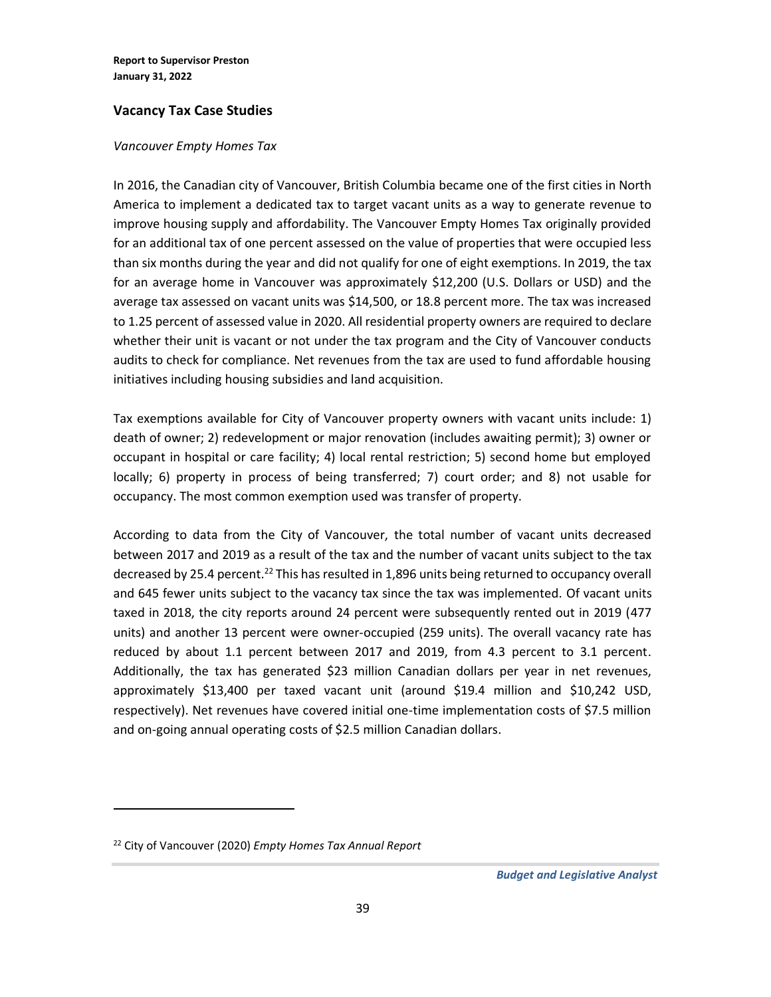### **Vacancy Tax Case Studies**

#### *Vancouver Empty Homes Tax*

In 2016, the Canadian city of Vancouver, British Columbia became one of the first cities in North America to implement a dedicated tax to target vacant units as a way to generate revenue to improve housing supply and affordability. The Vancouver Empty Homes Tax originally provided for an additional tax of one percent assessed on the value of properties that were occupied less than six months during the year and did not qualify for one of eight exemptions. In 2019, the tax for an average home in Vancouver was approximately \$12,200 (U.S. Dollars or USD) and the average tax assessed on vacant units was \$14,500, or 18.8 percent more. The tax was increased to 1.25 percent of assessed value in 2020. All residential property owners are required to declare whether their unit is vacant or not under the tax program and the City of Vancouver conducts audits to check for compliance. Net revenues from the tax are used to fund affordable housing initiatives including housing subsidies and land acquisition.

Tax exemptions available for City of Vancouver property owners with vacant units include: 1) death of owner; 2) redevelopment or major renovation (includes awaiting permit); 3) owner or occupant in hospital or care facility; 4) local rental restriction; 5) second home but employed locally; 6) property in process of being transferred; 7) court order; and 8) not usable for occupancy. The most common exemption used was transfer of property.

According to data from the City of Vancouver, the total number of vacant units decreased between 2017 and 2019 as a result of the tax and the number of vacant units subject to the tax decreased by 25.4 percent.<sup>22</sup> This has resulted in 1,896 units being returned to occupancy overall and 645 fewer units subject to the vacancy tax since the tax was implemented. Of vacant units taxed in 2018, the city reports around 24 percent were subsequently rented out in 2019 (477 units) and another 13 percent were owner-occupied (259 units). The overall vacancy rate has reduced by about 1.1 percent between 2017 and 2019, from 4.3 percent to 3.1 percent. Additionally, the tax has generated \$23 million Canadian dollars per year in net revenues, approximately \$13,400 per taxed vacant unit (around \$19.4 million and \$10,242 USD, respectively). Net revenues have covered initial one-time implementation costs of \$7.5 million and on-going annual operating costs of \$2.5 million Canadian dollars.

<sup>22</sup> City of Vancouver (2020) *Empty Homes Tax Annual Report*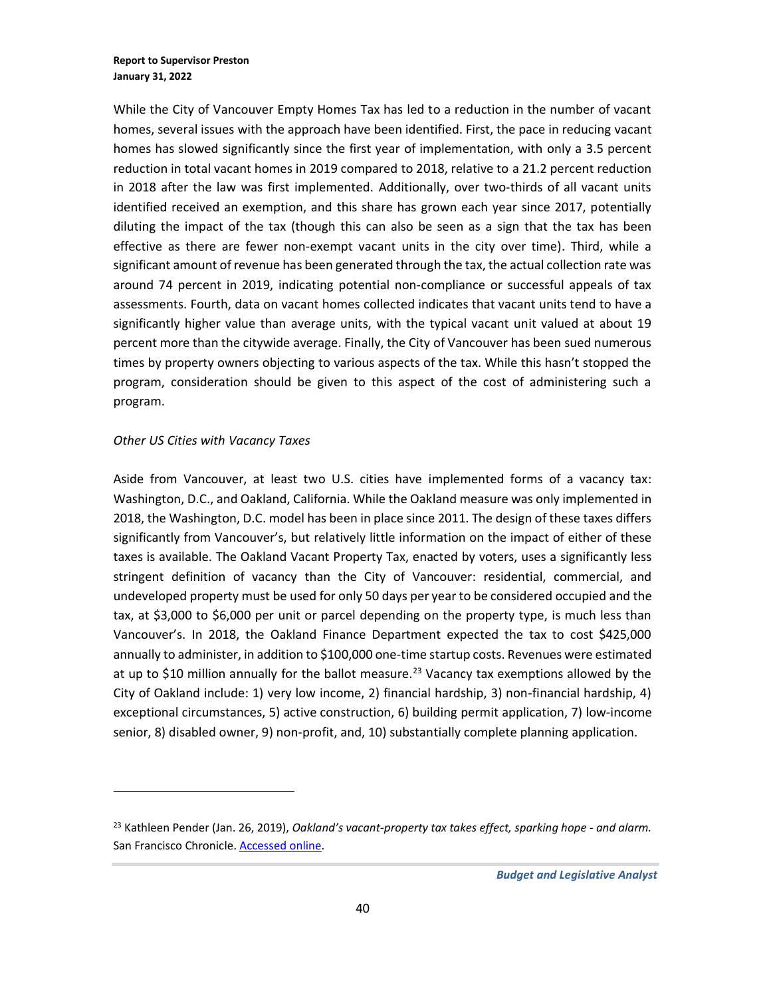While the City of Vancouver Empty Homes Tax has led to a reduction in the number of vacant homes, several issues with the approach have been identified. First, the pace in reducing vacant homes has slowed significantly since the first year of implementation, with only a 3.5 percent reduction in total vacant homes in 2019 compared to 2018, relative to a 21.2 percent reduction in 2018 after the law was first implemented. Additionally, over two-thirds of all vacant units identified received an exemption, and this share has grown each year since 2017, potentially diluting the impact of the tax (though this can also be seen as a sign that the tax has been effective as there are fewer non-exempt vacant units in the city over time). Third, while a significant amount of revenue has been generated through the tax, the actual collection rate was around 74 percent in 2019, indicating potential non-compliance or successful appeals of tax assessments. Fourth, data on vacant homes collected indicates that vacant units tend to have a significantly higher value than average units, with the typical vacant unit valued at about 19 percent more than the citywide average. Finally, the City of Vancouver has been sued numerous times by property owners objecting to various aspects of the tax. While this hasn't stopped the program, consideration should be given to this aspect of the cost of administering such a program.

#### *Other US Cities with Vacancy Taxes*

Aside from Vancouver, at least two U.S. cities have implemented forms of a vacancy tax: Washington, D.C., and Oakland, California. While the Oakland measure was only implemented in 2018, the Washington, D.C. model has been in place since 2011. The design of these taxes differs significantly from Vancouver's, but relatively little information on the impact of either of these taxes is available. The Oakland Vacant Property Tax, enacted by voters, uses a significantly less stringent definition of vacancy than the City of Vancouver: residential, commercial, and undeveloped property must be used for only 50 days per year to be considered occupied and the tax, at \$3,000 to \$6,000 per unit or parcel depending on the property type, is much less than Vancouver's. In 2018, the Oakland Finance Department expected the tax to cost \$425,000 annually to administer, in addition to \$100,000 one-time startup costs. Revenues were estimated at up to \$10 million annually for the ballot measure.<sup>23</sup> Vacancy tax exemptions allowed by the City of Oakland include: 1) very low income, 2) financial hardship, 3) non-financial hardship, 4) exceptional circumstances, 5) active construction, 6) building permit application, 7) low-income senior, 8) disabled owner, 9) non-profit, and, 10) substantially complete planning application.

<sup>23</sup> Kathleen Pender (Jan. 26, 2019), *Oakland's vacant-property tax takes effect, sparking hope - and alarm.* San Francisco Chronicle[. Accessed online.](https://www.sfchronicle.com/business/networth/article/Oakland-s-vacant-property-tax-takes-effect-13563273.php)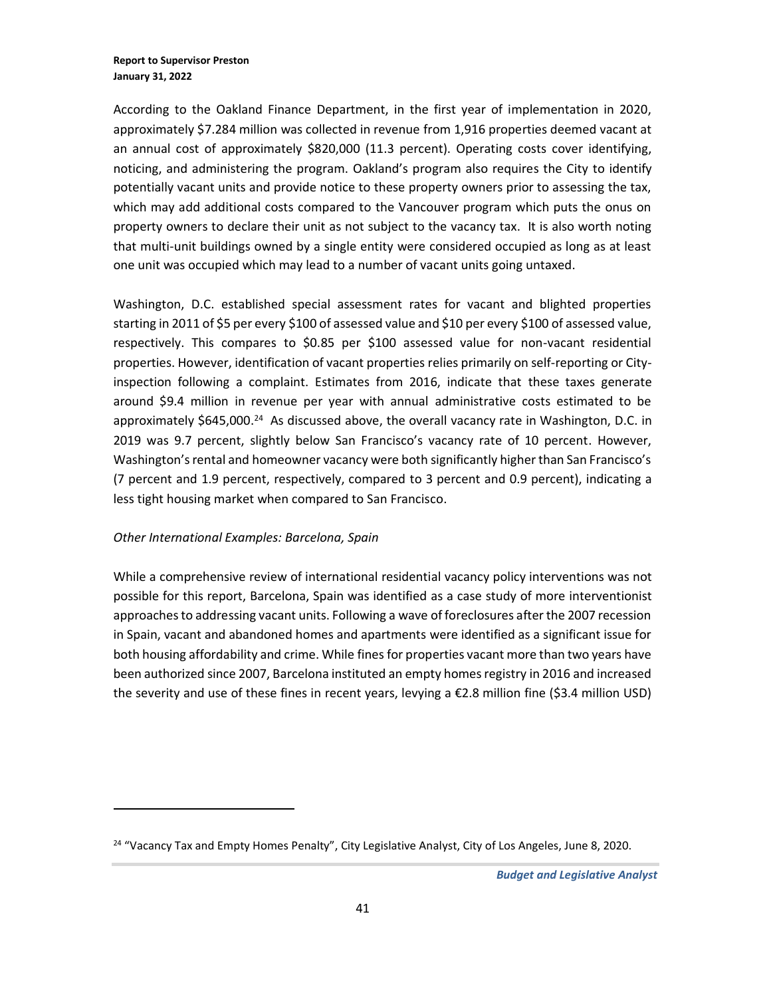According to the Oakland Finance Department, in the first year of implementation in 2020, approximately \$7.284 million was collected in revenue from 1,916 properties deemed vacant at an annual cost of approximately \$820,000 (11.3 percent). Operating costs cover identifying, noticing, and administering the program. Oakland's program also requires the City to identify potentially vacant units and provide notice to these property owners prior to assessing the tax, which may add additional costs compared to the Vancouver program which puts the onus on property owners to declare their unit as not subject to the vacancy tax. It is also worth noting that multi-unit buildings owned by a single entity were considered occupied as long as at least one unit was occupied which may lead to a number of vacant units going untaxed.

Washington, D.C. established special assessment rates for vacant and blighted properties starting in 2011 of \$5 per every \$100 of assessed value and \$10 per every \$100 of assessed value, respectively. This compares to \$0.85 per \$100 assessed value for non-vacant residential properties. However, identification of vacant properties relies primarily on self-reporting or Cityinspection following a complaint. Estimates from 2016, indicate that these taxes generate around \$9.4 million in revenue per year with annual administrative costs estimated to be approximately \$645,000.<sup>24</sup> As discussed above, the overall vacancy rate in Washington, D.C. in 2019 was 9.7 percent, slightly below San Francisco's vacancy rate of 10 percent. However, Washington's rental and homeowner vacancy were both significantly higher than San Francisco's (7 percent and 1.9 percent, respectively, compared to 3 percent and 0.9 percent), indicating a less tight housing market when compared to San Francisco.

#### *Other International Examples: Barcelona, Spain*

While a comprehensive review of international residential vacancy policy interventions was not possible for this report, Barcelona, Spain was identified as a case study of more interventionist approaches to addressing vacant units. Following a wave of foreclosures after the 2007 recession in Spain, vacant and abandoned homes and apartments were identified as a significant issue for both housing affordability and crime. While fines for properties vacant more than two years have been authorized since 2007, Barcelona instituted an empty homes registry in 2016 and increased the severity and use of these fines in recent years, levying a €2.8 million fine (\$3.4 million USD)

<sup>&</sup>lt;sup>24</sup> "Vacancy Tax and Empty Homes Penalty", City Legislative Analyst, City of Los Angeles, June 8, 2020.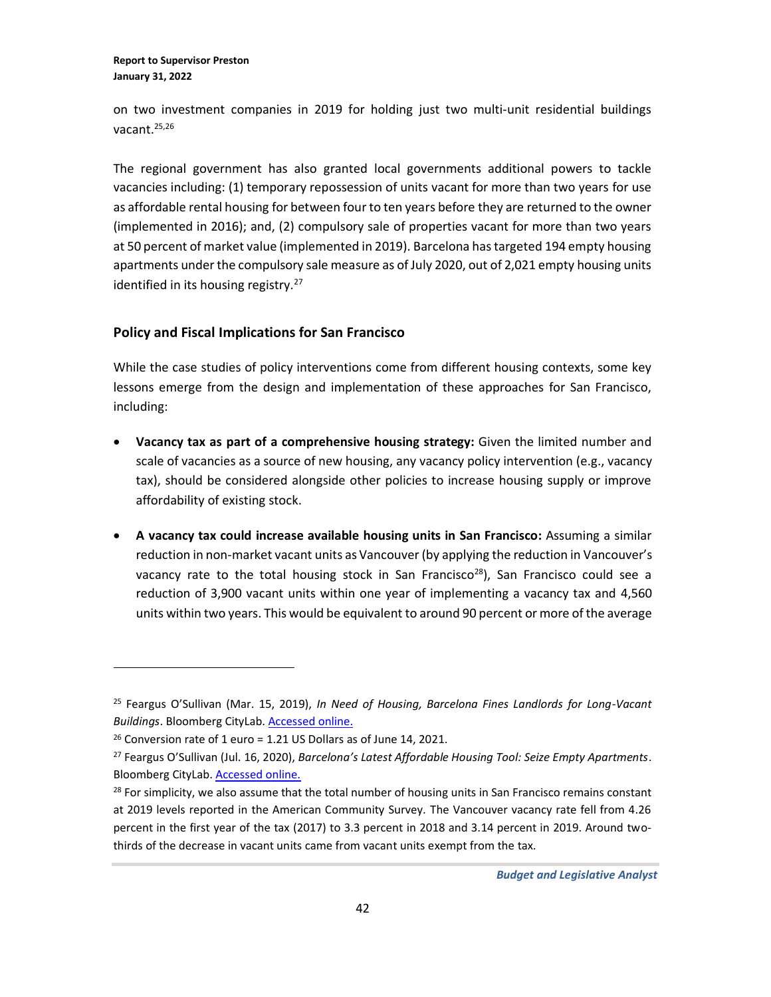on two investment companies in 2019 for holding just two multi-unit residential buildings vacant. 25,26

The regional government has also granted local governments additional powers to tackle vacancies including: (1) temporary repossession of units vacant for more than two years for use as affordable rental housing for between four to ten years before they are returned to the owner (implemented in 2016); and, (2) compulsory sale of properties vacant for more than two years at 50 percent of market value (implemented in 2019). Barcelona has targeted 194 empty housing apartments under the compulsory sale measure as of July 2020, out of 2,021 empty housing units identified in its housing registry.<sup>27</sup>

### **Policy and Fiscal Implications for San Francisco**

While the case studies of policy interventions come from different housing contexts, some key lessons emerge from the design and implementation of these approaches for San Francisco, including:

- **Vacancy tax as part of a comprehensive housing strategy:** Given the limited number and scale of vacancies as a source of new housing, any vacancy policy intervention (e.g., vacancy tax), should be considered alongside other policies to increase housing supply or improve affordability of existing stock.
- **A vacancy tax could increase available housing units in San Francisco:** Assuming a similar reduction in non-market vacant units as Vancouver (by applying the reduction in Vancouver's vacancy rate to the total housing stock in San Francisco<sup>28</sup>), San Francisco could see a reduction of 3,900 vacant units within one year of implementing a vacancy tax and 4,560 units within two years. This would be equivalent to around 90 percent or more of the average

<sup>25</sup> Feargus O'Sullivan (Mar. 15, 2019), *In Need of Housing, Barcelona Fines Landlords for Long-Vacant Buildings*. Bloomberg CityLab. [Accessed online.](https://www.bloomberg.com/news/articles/2019-03-15/barcelona-fines-landlords-who-let-buildings-sit-empty)

 $26$  Conversion rate of 1 euro = 1.21 US Dollars as of June 14, 2021.

<sup>27</sup> Feargus O'Sullivan (Jul. 16, 2020), *Barcelona's Latest Affordable Housing Tool: Seize Empty Apartments*. Bloomberg CityLab[. Accessed online.](https://www.bloomberg.com/news/articles/2020-07-16/to-fill-vacant-units-barcelona-seizes-apartments)

 $28$  For simplicity, we also assume that the total number of housing units in San Francisco remains constant at 2019 levels reported in the American Community Survey. The Vancouver vacancy rate fell from 4.26 percent in the first year of the tax (2017) to 3.3 percent in 2018 and 3.14 percent in 2019. Around twothirds of the decrease in vacant units came from vacant units exempt from the tax.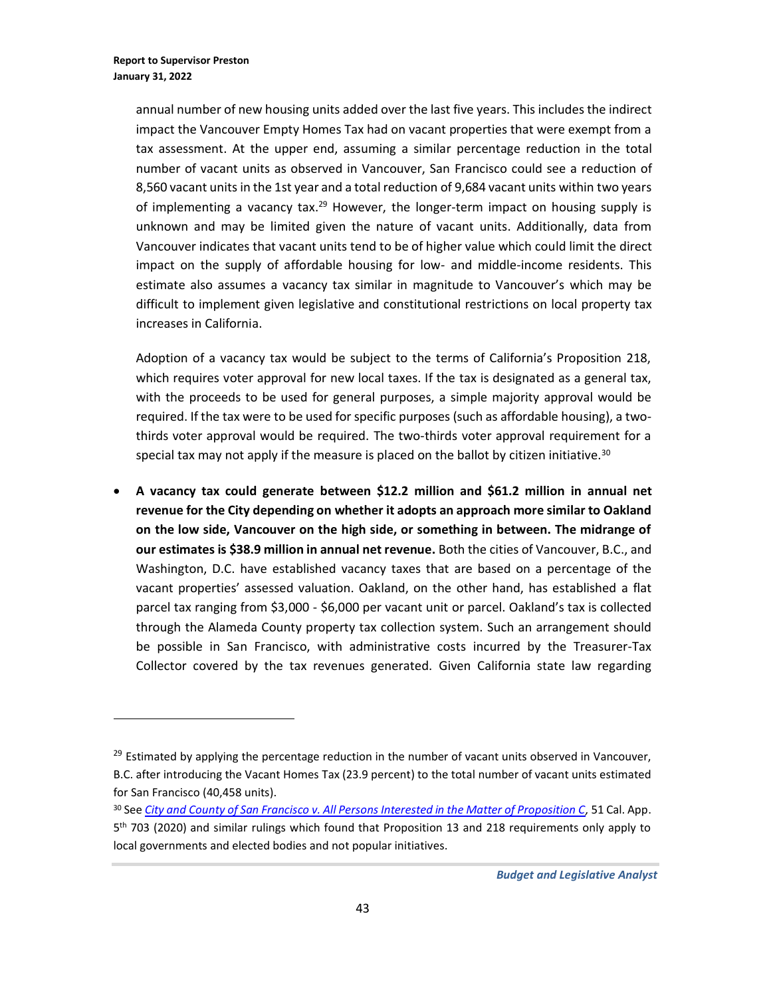annual number of new housing units added over the last five years. This includes the indirect impact the Vancouver Empty Homes Tax had on vacant properties that were exempt from a tax assessment. At the upper end, assuming a similar percentage reduction in the total number of vacant units as observed in Vancouver, San Francisco could see a reduction of 8,560 vacant units in the 1st year and a total reduction of 9,684 vacant units within two years of implementing a vacancy tax.<sup>29</sup> However, the longer-term impact on housing supply is unknown and may be limited given the nature of vacant units. Additionally, data from Vancouver indicates that vacant units tend to be of higher value which could limit the direct impact on the supply of affordable housing for low- and middle-income residents. This estimate also assumes a vacancy tax similar in magnitude to Vancouver's which may be difficult to implement given legislative and constitutional restrictions on local property tax increases in California.

Adoption of a vacancy tax would be subject to the terms of California's Proposition 218, which requires voter approval for new local taxes. If the tax is designated as a general tax, with the proceeds to be used for general purposes, a simple majority approval would be required. If the tax were to be used for specific purposes (such as affordable housing), a twothirds voter approval would be required. The two-thirds voter approval requirement for a special tax may not apply if the measure is placed on the ballot by citizen initiative. $30$ 

• **A vacancy tax could generate between \$12.2 million and \$61.2 million in annual net revenue for the City depending on whether it adopts an approach more similar to Oakland on the low side, Vancouver on the high side, or something in between. The midrange of our estimates is \$38.9 million in annual net revenue.** Both the cities of Vancouver, B.C., and Washington, D.C. have established vacancy taxes that are based on a percentage of the vacant properties' assessed valuation. Oakland, on the other hand, has established a flat parcel tax ranging from \$3,000 - \$6,000 per vacant unit or parcel. Oakland's tax is collected through the Alameda County property tax collection system. Such an arrangement should be possible in San Francisco, with administrative costs incurred by the Treasurer-Tax Collector covered by the tax revenues generated. Given California state law regarding

 $29$  Estimated by applying the percentage reduction in the number of vacant units observed in Vancouver, B.C. after introducing the Vacant Homes Tax (23.9 percent) to the total number of vacant units estimated for San Francisco (40,458 units).

<sup>30</sup> See *[City and County of San Francisco v. All Persons Interested in the Matter of Proposition C,](https://www.courts.ca.gov/opinions/archive/A158645.PDF)* 51 Cal. App. 5<sup>th</sup> 703 (2020) and similar rulings which found that Proposition 13 and 218 requirements only apply to local governments and elected bodies and not popular initiatives.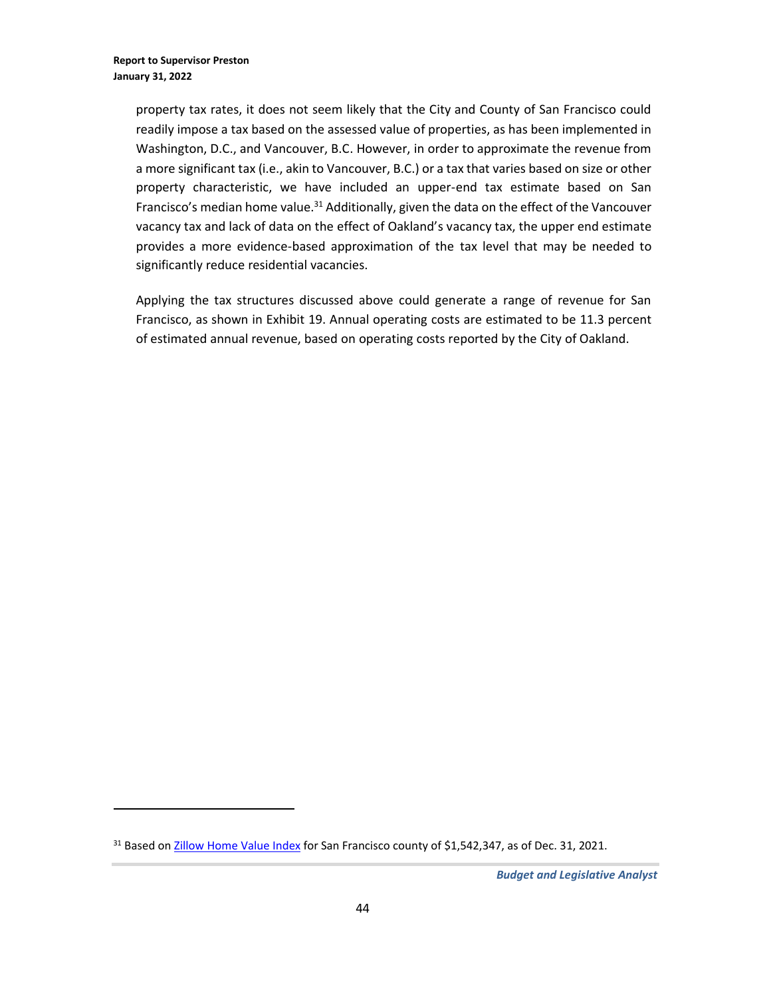property tax rates, it does not seem likely that the City and County of San Francisco could readily impose a tax based on the assessed value of properties, as has been implemented in Washington, D.C., and Vancouver, B.C. However, in order to approximate the revenue from a more significant tax (i.e., akin to Vancouver, B.C.) or a tax that varies based on size or other property characteristic, we have included an upper-end tax estimate based on San Francisco's median home value.<sup>31</sup> Additionally, given the data on the effect of the Vancouver vacancy tax and lack of data on the effect of Oakland's vacancy tax, the upper end estimate provides a more evidence-based approximation of the tax level that may be needed to significantly reduce residential vacancies.

Applying the tax structures discussed above could generate a range of revenue for San Francisco, as shown in Exhibit 19. Annual operating costs are estimated to be 11.3 percent of estimated annual revenue, based on operating costs reported by the City of Oakland.

<sup>&</sup>lt;sup>31</sup> Based on **Zillow Home Value Index for San Francisco county of \$1,542,347, as of Dec. 31, 2021.**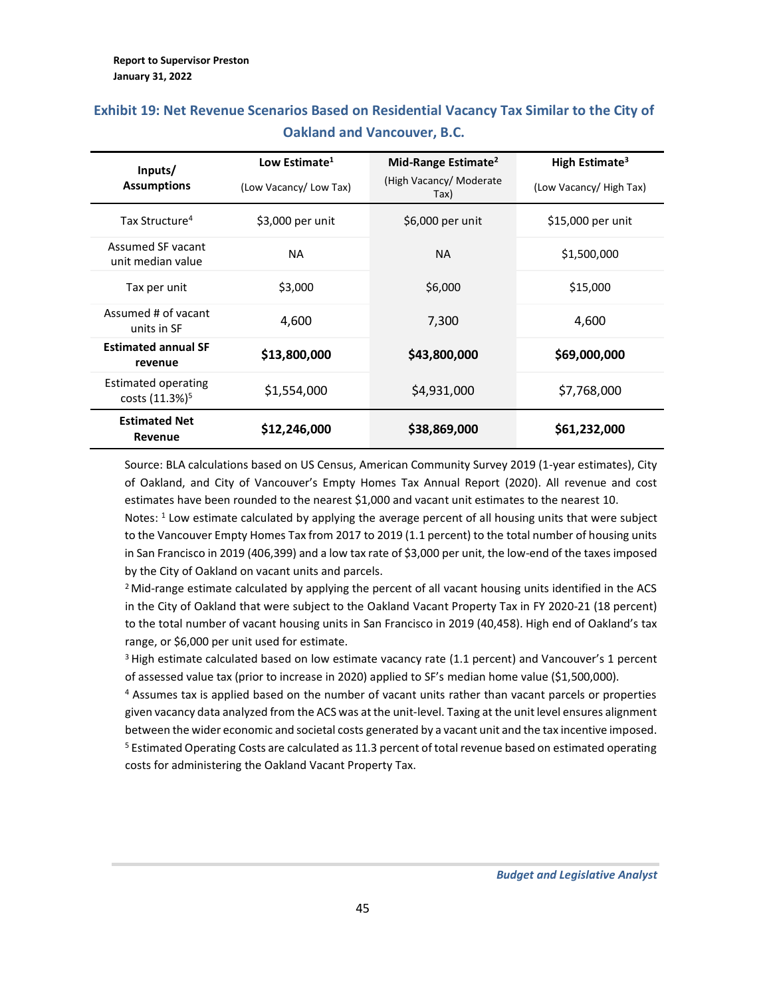| Inputs/                                                  | Low Estimate <sup>1</sup> | Mid-Range Estimate <sup>2</sup> | High Estimate <sup>3</sup> |
|----------------------------------------------------------|---------------------------|---------------------------------|----------------------------|
| <b>Assumptions</b>                                       | (Low Vacancy/Low Tax)     | (High Vacancy/ Moderate<br>Tax) | (Low Vacancy/ High Tax)    |
| Tax Structure <sup>4</sup>                               | \$3,000 per unit          | \$6,000 per unit                | \$15,000 per unit          |
| Assumed SF vacant<br>unit median value                   | <b>NA</b>                 | <b>NA</b>                       | \$1,500,000                |
| Tax per unit                                             | \$3,000                   | \$6,000                         | \$15,000                   |
| Assumed # of vacant<br>units in SF                       | 4.600                     | 7,300                           | 4,600                      |
| <b>Estimated annual SF</b><br>revenue                    | \$13,800,000              | \$43,800,000                    | \$69,000,000               |
| <b>Estimated operating</b><br>costs (11.3%) <sup>5</sup> | \$1,554,000               | \$4,931,000                     | \$7,768,000                |
| <b>Estimated Net</b><br>Revenue                          | \$12,246,000              | \$38,869,000                    | \$61,232,000               |

# **Exhibit 19: Net Revenue Scenarios Based on Residential Vacancy Tax Similar to the City of Oakland and Vancouver, B.C.**

Source: BLA calculations based on US Census, American Community Survey 2019 (1-year estimates), City of Oakland, and City of Vancouver's Empty Homes Tax Annual Report (2020). All revenue and cost estimates have been rounded to the nearest \$1,000 and vacant unit estimates to the nearest 10.

Notes: <sup>1</sup> Low estimate calculated by applying the average percent of all housing units that were subject to the Vancouver Empty Homes Tax from 2017 to 2019 (1.1 percent) to the total number of housing units in San Francisco in 2019 (406,399) and a low tax rate of \$3,000 per unit, the low-end of the taxes imposed by the City of Oakland on vacant units and parcels.

<sup>2</sup> Mid-range estimate calculated by applying the percent of all vacant housing units identified in the ACS in the City of Oakland that were subject to the Oakland Vacant Property Tax in FY 2020-21 (18 percent) to the total number of vacant housing units in San Francisco in 2019 (40,458). High end of Oakland's tax range, or \$6,000 per unit used for estimate.

<sup>3</sup> High estimate calculated based on low estimate vacancy rate (1.1 percent) and Vancouver's 1 percent of assessed value tax (prior to increase in 2020) applied to SF's median home value (\$1,500,000).

<sup>4</sup> Assumes tax is applied based on the number of vacant units rather than vacant parcels or properties given vacancy data analyzed from the ACS was at the unit-level. Taxing at the unit level ensures alignment between the wider economic and societal costs generated by a vacant unit and the tax incentive imposed. <sup>5</sup> Estimated Operating Costs are calculated as 11.3 percent of total revenue based on estimated operating costs for administering the Oakland Vacant Property Tax.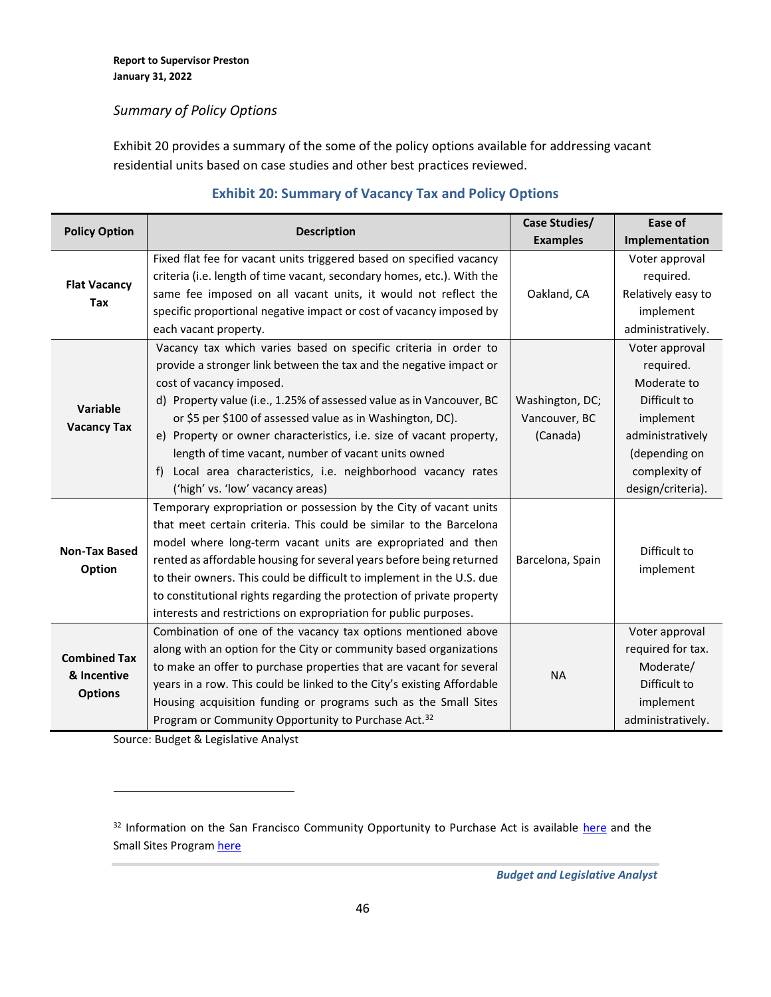### *Summary of Policy Options*

Exhibit 20 provides a summary of the some of the policy options available for addressing vacant residential units based on case studies and other best practices reviewed.

|                                |                                                                        | Case Studies/    | Ease of            |
|--------------------------------|------------------------------------------------------------------------|------------------|--------------------|
| <b>Policy Option</b>           | <b>Description</b>                                                     | <b>Examples</b>  | Implementation     |
|                                | Fixed flat fee for vacant units triggered based on specified vacancy   |                  | Voter approval     |
| <b>Flat Vacancy</b>            | criteria (i.e. length of time vacant, secondary homes, etc.). With the |                  | required.          |
| <b>Tax</b>                     | same fee imposed on all vacant units, it would not reflect the         | Oakland, CA      | Relatively easy to |
|                                | specific proportional negative impact or cost of vacancy imposed by    |                  | implement          |
|                                | each vacant property.                                                  |                  | administratively.  |
|                                | Vacancy tax which varies based on specific criteria in order to        |                  | Voter approval     |
|                                | provide a stronger link between the tax and the negative impact or     |                  | required.          |
|                                | cost of vacancy imposed.                                               |                  | Moderate to        |
|                                | d) Property value (i.e., 1.25% of assessed value as in Vancouver, BC   | Washington, DC;  | Difficult to       |
| Variable<br><b>Vacancy Tax</b> | or \$5 per \$100 of assessed value as in Washington, DC).              | Vancouver, BC    | implement          |
|                                | e) Property or owner characteristics, i.e. size of vacant property,    | (Canada)         | administratively   |
|                                | length of time vacant, number of vacant units owned                    |                  | (depending on      |
|                                | f) Local area characteristics, i.e. neighborhood vacancy rates         |                  | complexity of      |
|                                | ('high' vs. 'low' vacancy areas)                                       |                  | design/criteria).  |
|                                | Temporary expropriation or possession by the City of vacant units      |                  |                    |
|                                | that meet certain criteria. This could be similar to the Barcelona     |                  |                    |
| <b>Non-Tax Based</b>           | model where long-term vacant units are expropriated and then           |                  | Difficult to       |
|                                | rented as affordable housing for several years before being returned   | Barcelona, Spain |                    |
| Option                         | to their owners. This could be difficult to implement in the U.S. due  |                  | implement          |
|                                | to constitutional rights regarding the protection of private property  |                  |                    |
|                                | interests and restrictions on expropriation for public purposes.       |                  |                    |
|                                | Combination of one of the vacancy tax options mentioned above          |                  | Voter approval     |
| <b>Combined Tax</b>            | along with an option for the City or community based organizations     |                  | required for tax.  |
| & Incentive                    | to make an offer to purchase properties that are vacant for several    |                  | Moderate/          |
|                                | years in a row. This could be linked to the City's existing Affordable | <b>NA</b>        | Difficult to       |
| <b>Options</b>                 | Housing acquisition funding or programs such as the Small Sites        |                  | implement          |
|                                | Program or Community Opportunity to Purchase Act. <sup>32</sup>        |                  | administratively.  |

### **Exhibit 20: Summary of Vacancy Tax and Policy Options**

Source: Budget & Legislative Analyst

<sup>32</sup> Information on the San Francisco Community Opportunity to Purchase Act is available [here](https://sfmohcd.org/community-opportunity-purchase-act-copa) and the Small Sites Program [here](https://sfmohcd.org/small-sites-program)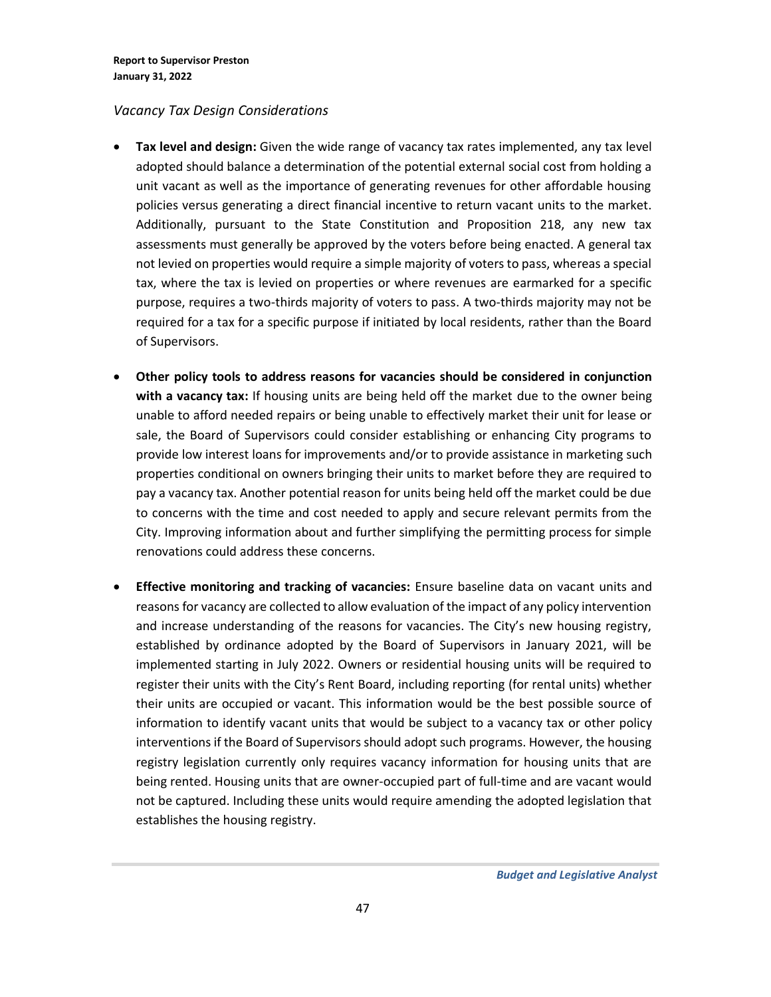### *Vacancy Tax Design Considerations*

- **Tax level and design:** Given the wide range of vacancy tax rates implemented, any tax level adopted should balance a determination of the potential external social cost from holding a unit vacant as well as the importance of generating revenues for other affordable housing policies versus generating a direct financial incentive to return vacant units to the market. Additionally, pursuant to the State Constitution and Proposition 218, any new tax assessments must generally be approved by the voters before being enacted. A general tax not levied on properties would require a simple majority of voters to pass, whereas a special tax, where the tax is levied on properties or where revenues are earmarked for a specific purpose, requires a two-thirds majority of voters to pass. A two-thirds majority may not be required for a tax for a specific purpose if initiated by local residents, rather than the Board of Supervisors.
- **Other policy tools to address reasons for vacancies should be considered in conjunction with a vacancy tax:** If housing units are being held off the market due to the owner being unable to afford needed repairs or being unable to effectively market their unit for lease or sale, the Board of Supervisors could consider establishing or enhancing City programs to provide low interest loans for improvements and/or to provide assistance in marketing such properties conditional on owners bringing their units to market before they are required to pay a vacancy tax. Another potential reason for units being held off the market could be due to concerns with the time and cost needed to apply and secure relevant permits from the City. Improving information about and further simplifying the permitting process for simple renovations could address these concerns.
- **Effective monitoring and tracking of vacancies:** Ensure baseline data on vacant units and reasons for vacancy are collected to allow evaluation of the impact of any policy intervention and increase understanding of the reasons for vacancies. The City's new housing registry, established by ordinance adopted by the Board of Supervisors in January 2021, will be implemented starting in July 2022. Owners or residential housing units will be required to register their units with the City's Rent Board, including reporting (for rental units) whether their units are occupied or vacant. This information would be the best possible source of information to identify vacant units that would be subject to a vacancy tax or other policy interventions if the Board of Supervisors should adopt such programs. However, the housing registry legislation currently only requires vacancy information for housing units that are being rented. Housing units that are owner-occupied part of full-time and are vacant would not be captured. Including these units would require amending the adopted legislation that establishes the housing registry.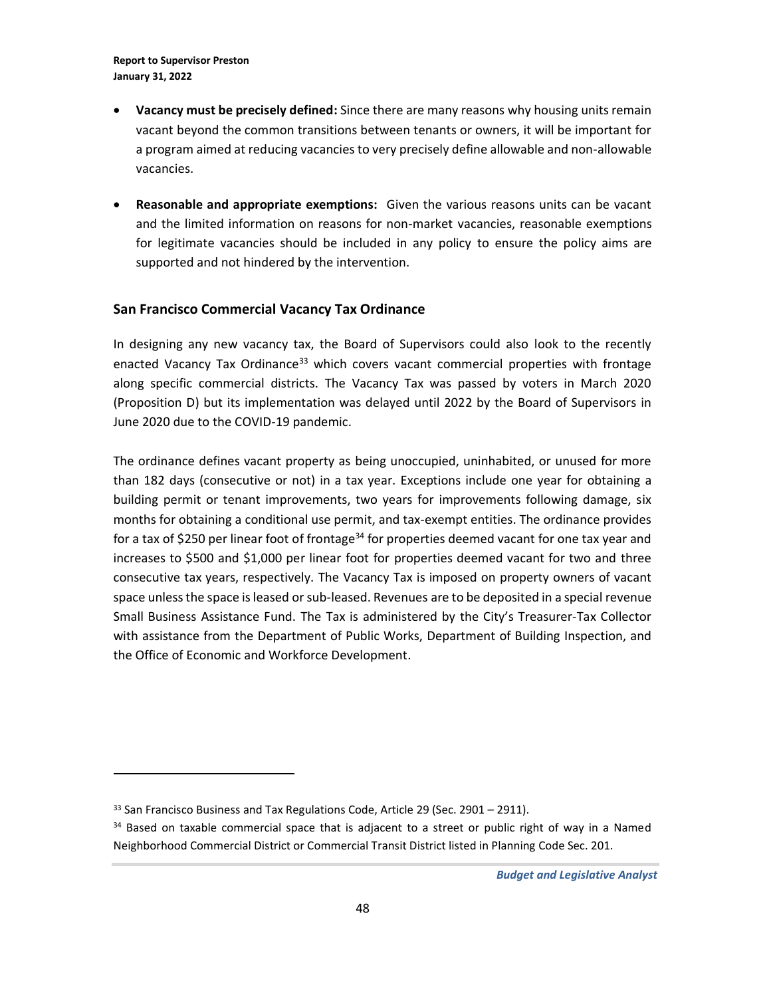- **Vacancy must be precisely defined:** Since there are many reasons why housing units remain vacant beyond the common transitions between tenants or owners, it will be important for a program aimed at reducing vacancies to very precisely define allowable and non-allowable vacancies.
- **Reasonable and appropriate exemptions:** Given the various reasons units can be vacant and the limited information on reasons for non-market vacancies, reasonable exemptions for legitimate vacancies should be included in any policy to ensure the policy aims are supported and not hindered by the intervention.

### **San Francisco Commercial Vacancy Tax Ordinance**

In designing any new vacancy tax, the Board of Supervisors could also look to the recently enacted Vacancy Tax Ordinance<sup>33</sup> which covers vacant commercial properties with frontage along specific commercial districts. The Vacancy Tax was passed by voters in March 2020 (Proposition D) but its implementation was delayed until 2022 by the Board of Supervisors in June 2020 due to the COVID-19 pandemic.

The ordinance defines vacant property as being unoccupied, uninhabited, or unused for more than 182 days (consecutive or not) in a tax year. Exceptions include one year for obtaining a building permit or tenant improvements, two years for improvements following damage, six months for obtaining a conditional use permit, and tax-exempt entities. The ordinance provides for a tax of \$250 per linear foot of frontage<sup>34</sup> for properties deemed vacant for one tax year and increases to \$500 and \$1,000 per linear foot for properties deemed vacant for two and three consecutive tax years, respectively. The Vacancy Tax is imposed on property owners of vacant space unless the space is leased or sub-leased. Revenues are to be deposited in a special revenue Small Business Assistance Fund. The Tax is administered by the City's Treasurer-Tax Collector with assistance from the Department of Public Works, Department of Building Inspection, and the Office of Economic and Workforce Development.

 $33$  San Francisco Business and Tax Regulations Code, Article 29 (Sec. 2901 – 2911).

<sup>&</sup>lt;sup>34</sup> Based on taxable commercial space that is adjacent to a street or public right of way in a Named Neighborhood Commercial District or Commercial Transit District listed in Planning Code Sec. 201.